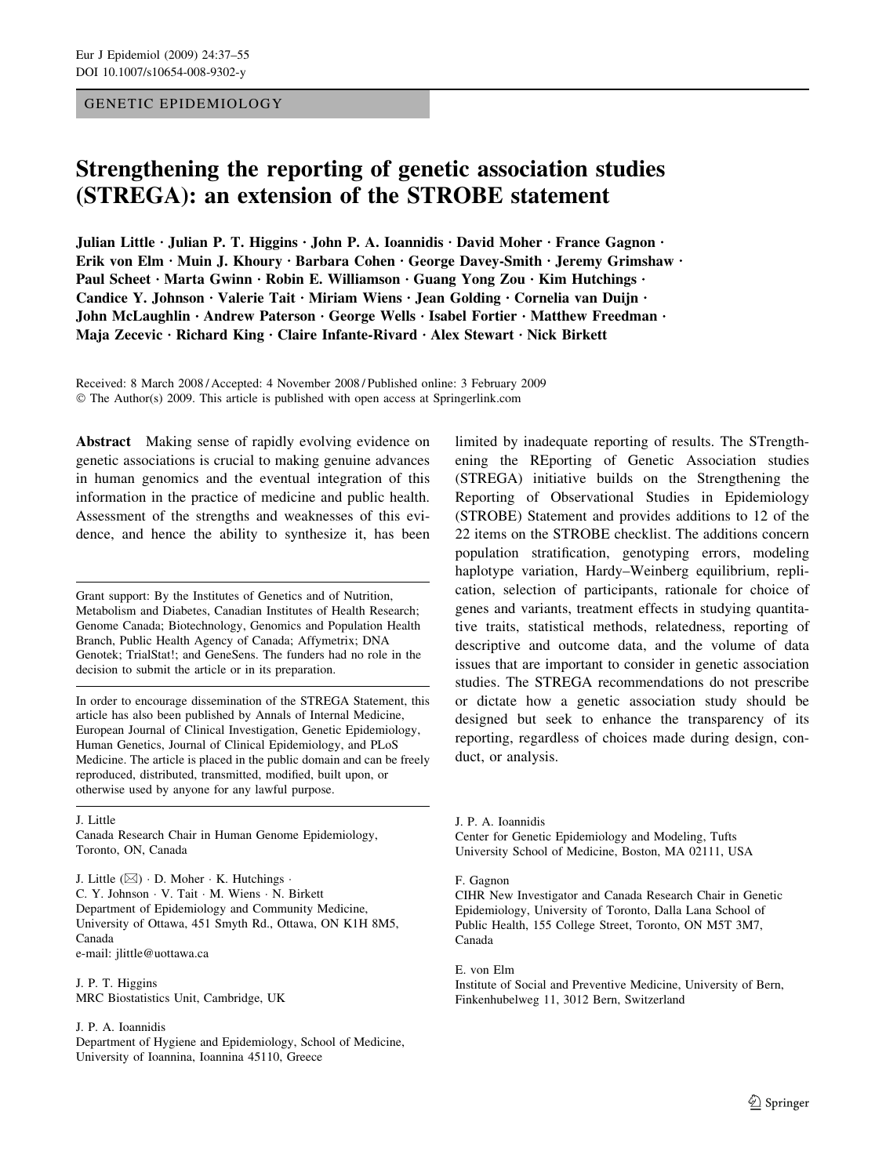# GENETIC EPIDEMIOLOGY

# Strengthening the reporting of genetic association studies (STREGA): an extension of the STROBE statement

Julian Little  $\cdot$  Julian P. T. Higgins  $\cdot$  John P. A. Ioannidis  $\cdot$  David Moher  $\cdot$  France Gagnon  $\cdot$ Erik von Elm · Muin J. Khoury · Barbara Cohen · George Davey-Smith · Jeremy Grimshaw · Paul Scheet • Marta Gwinn • Robin E. Williamson • Guang Yong Zou • Kim Hutchings • Candice Y. Johnson · Valerie Tait · Miriam Wiens · Jean Golding · Cornelia van Duijn · John McLaughlin · Andrew Paterson · George Wells · Isabel Fortier · Matthew Freedman · Maja Zecevic · Richard King · Claire Infante-Rivard · Alex Stewart · Nick Birkett

Received: 8 March 2008 / Accepted: 4 November 2008 / Published online: 3 February 2009  $\odot$  The Author(s) 2009. This article is published with open access at Springerlink.com

Abstract Making sense of rapidly evolving evidence on genetic associations is crucial to making genuine advances in human genomics and the eventual integration of this information in the practice of medicine and public health. Assessment of the strengths and weaknesses of this evidence, and hence the ability to synthesize it, has been

Grant support: By the Institutes of Genetics and of Nutrition, Metabolism and Diabetes, Canadian Institutes of Health Research; Genome Canada; Biotechnology, Genomics and Population Health Branch, Public Health Agency of Canada; Affymetrix; DNA Genotek; TrialStat!; and GeneSens. The funders had no role in the decision to submit the article or in its preparation.

In order to encourage dissemination of the STREGA Statement, this article has also been published by Annals of Internal Medicine, European Journal of Clinical Investigation, Genetic Epidemiology, Human Genetics, Journal of Clinical Epidemiology, and PLoS Medicine. The article is placed in the public domain and can be freely reproduced, distributed, transmitted, modified, built upon, or otherwise used by anyone for any lawful purpose.

J. Little

Canada Research Chair in Human Genome Epidemiology, Toronto, ON, Canada

J. Little  $(\boxtimes) \cdot$  D. Moher  $\cdot$  K. Hutchings  $\cdot$ C. Y. Johnson · V. Tait · M. Wiens · N. Birkett Department of Epidemiology and Community Medicine, University of Ottawa, 451 Smyth Rd., Ottawa, ON K1H 8M5, Canada e-mail: jlittle@uottawa.ca

J. P. T. Higgins MRC Biostatistics Unit, Cambridge, UK

## J. P. A. Ioannidis

Department of Hygiene and Epidemiology, School of Medicine, University of Ioannina, Ioannina 45110, Greece

limited by inadequate reporting of results. The STrengthening the REporting of Genetic Association studies (STREGA) initiative builds on the Strengthening the Reporting of Observational Studies in Epidemiology (STROBE) Statement and provides additions to 12 of the 22 items on the STROBE checklist. The additions concern population stratification, genotyping errors, modeling haplotype variation, Hardy–Weinberg equilibrium, replication, selection of participants, rationale for choice of genes and variants, treatment effects in studying quantitative traits, statistical methods, relatedness, reporting of descriptive and outcome data, and the volume of data issues that are important to consider in genetic association studies. The STREGA recommendations do not prescribe or dictate how a genetic association study should be designed but seek to enhance the transparency of its reporting, regardless of choices made during design, conduct, or analysis.

J. P. A. Ioannidis Center for Genetic Epidemiology and Modeling, Tufts University School of Medicine, Boston, MA 02111, USA

#### F. Gagnon

CIHR New Investigator and Canada Research Chair in Genetic Epidemiology, University of Toronto, Dalla Lana School of Public Health, 155 College Street, Toronto, ON M5T 3M7, Canada

E. von Elm Institute of Social and Preventive Medicine, University of Bern, Finkenhubelweg 11, 3012 Bern, Switzerland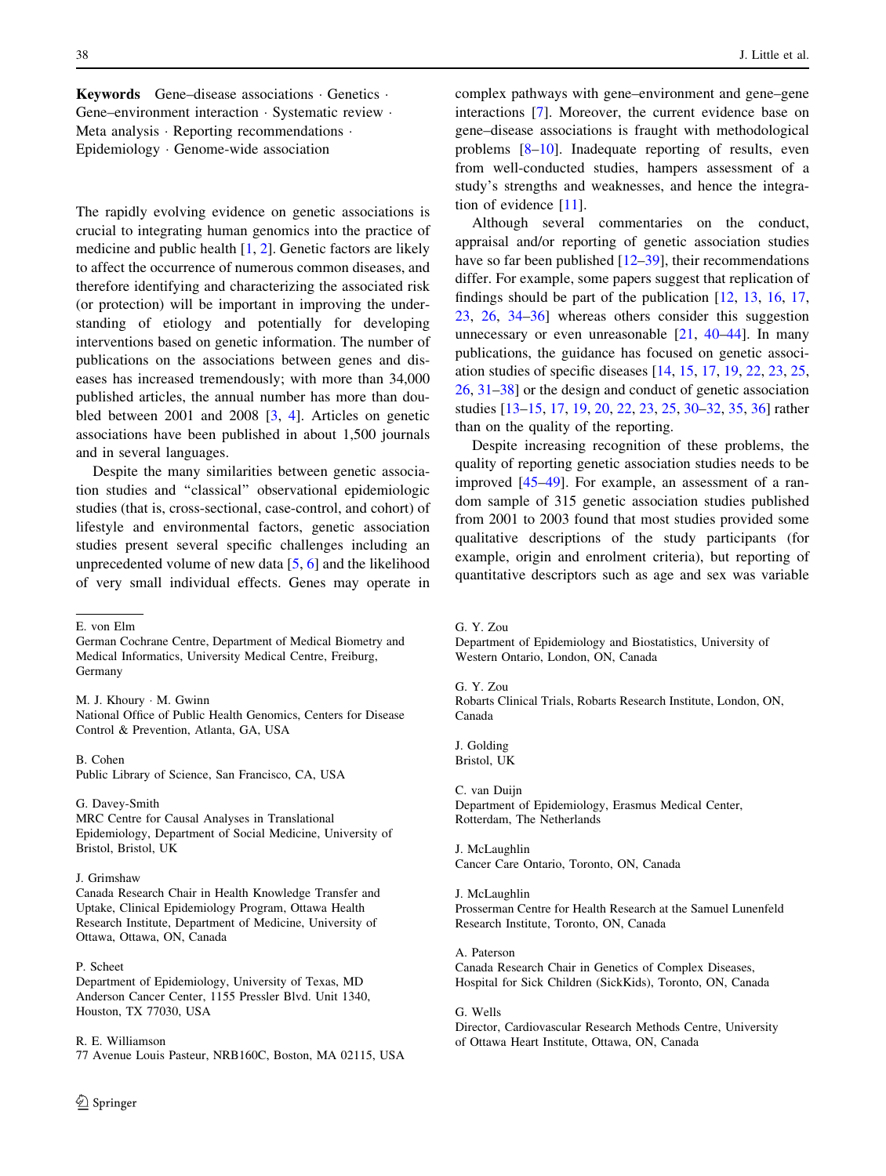Keywords Gene-disease associations Genetics · Gene–environment interaction · Systematic review · Meta analysis  $\cdot$  Reporting recommendations  $\cdot$ Epidemiology · Genome-wide association

The rapidly evolving evidence on genetic associations is crucial to integrating human genomics into the practice of medicine and public health [\[1](#page-14-0), [2\]](#page-14-0). Genetic factors are likely to affect the occurrence of numerous common diseases, and therefore identifying and characterizing the associated risk (or protection) will be important in improving the understanding of etiology and potentially for developing interventions based on genetic information. The number of publications on the associations between genes and diseases has increased tremendously; with more than 34,000 published articles, the annual number has more than doubled between 2001 and 2008 [\[3](#page-14-0), [4\]](#page-14-0). Articles on genetic associations have been published in about 1,500 journals and in several languages.

Despite the many similarities between genetic association studies and ''classical'' observational epidemiologic studies (that is, cross-sectional, case-control, and cohort) of lifestyle and environmental factors, genetic association studies present several specific challenges including an unprecedented volume of new data  $[5, 6]$  $[5, 6]$  $[5, 6]$  $[5, 6]$  and the likelihood of very small individual effects. Genes may operate in

E. von Elm

German Cochrane Centre, Department of Medical Biometry and Medical Informatics, University Medical Centre, Freiburg, Germany

M. J. Khoury · M. Gwinn National Office of Public Health Genomics, Centers for Disease Control & Prevention, Atlanta, GA, USA

B. Cohen Public Library of Science, San Francisco, CA, USA

#### G. Davey-Smith

MRC Centre for Causal Analyses in Translational Epidemiology, Department of Social Medicine, University of Bristol, Bristol, UK

#### J. Grimshaw

Canada Research Chair in Health Knowledge Transfer and Uptake, Clinical Epidemiology Program, Ottawa Health Research Institute, Department of Medicine, University of Ottawa, Ottawa, ON, Canada

#### P. Scheet

Department of Epidemiology, University of Texas, MD Anderson Cancer Center, 1155 Pressler Blvd. Unit 1340, Houston, TX 77030, USA

#### R. E. Williamson

77 Avenue Louis Pasteur, NRB160C, Boston, MA 02115, USA

complex pathways with gene–environment and gene–gene interactions [[7\]](#page-14-0). Moreover, the current evidence base on gene–disease associations is fraught with methodological problems [[8–10\]](#page-14-0). Inadequate reporting of results, even from well-conducted studies, hampers assessment of a study's strengths and weaknesses, and hence the integration of evidence [\[11\]](#page-14-0).

Although several commentaries on the conduct, appraisal and/or reporting of genetic association studies have so far been published  $[12-39]$  $[12-39]$ , their recommendations differ. For example, some papers suggest that replication of findings should be part of the publication [[12,](#page-14-0) [13,](#page-14-0) [16,](#page-14-0) [17,](#page-14-0) [23](#page-14-0), [26,](#page-15-0) [34–36\]](#page-15-0) whereas others consider this suggestion unnecessary or even unreasonable [[21,](#page-14-0) [40–44\]](#page-15-0). In many publications, the guidance has focused on genetic association studies of specific diseases [[14,](#page-14-0) [15,](#page-14-0) [17,](#page-14-0) [19,](#page-14-0) [22,](#page-14-0) [23,](#page-14-0) [25,](#page-15-0) [26](#page-15-0), [31–38](#page-15-0)] or the design and conduct of genetic association studies [[13–15,](#page-14-0) [17,](#page-14-0) [19,](#page-14-0) [20,](#page-14-0) [22,](#page-14-0) [23,](#page-14-0) [25,](#page-15-0) [30–32,](#page-15-0) [35,](#page-15-0) [36\]](#page-15-0) rather than on the quality of the reporting.

Despite increasing recognition of these problems, the quality of reporting genetic association studies needs to be improved [[45–49\]](#page-15-0). For example, an assessment of a random sample of 315 genetic association studies published from 2001 to 2003 found that most studies provided some qualitative descriptions of the study participants (for example, origin and enrolment criteria), but reporting of quantitative descriptors such as age and sex was variable

G. Y. Zou

Department of Epidemiology and Biostatistics, University of Western Ontario, London, ON, Canada

## G. Y. Zou

Robarts Clinical Trials, Robarts Research Institute, London, ON, Canada

J. Golding Bristol, UK

C. van Duijn Department of Epidemiology, Erasmus Medical Center, Rotterdam, The Netherlands

J. McLaughlin Cancer Care Ontario, Toronto, ON, Canada

J. McLaughlin Prosserman Centre for Health Research at the Samuel Lunenfeld Research Institute, Toronto, ON, Canada

A. Paterson Canada Research Chair in Genetics of Complex Diseases, Hospital for Sick Children (SickKids), Toronto, ON, Canada

#### G. Wells

Director, Cardiovascular Research Methods Centre, University of Ottawa Heart Institute, Ottawa, ON, Canada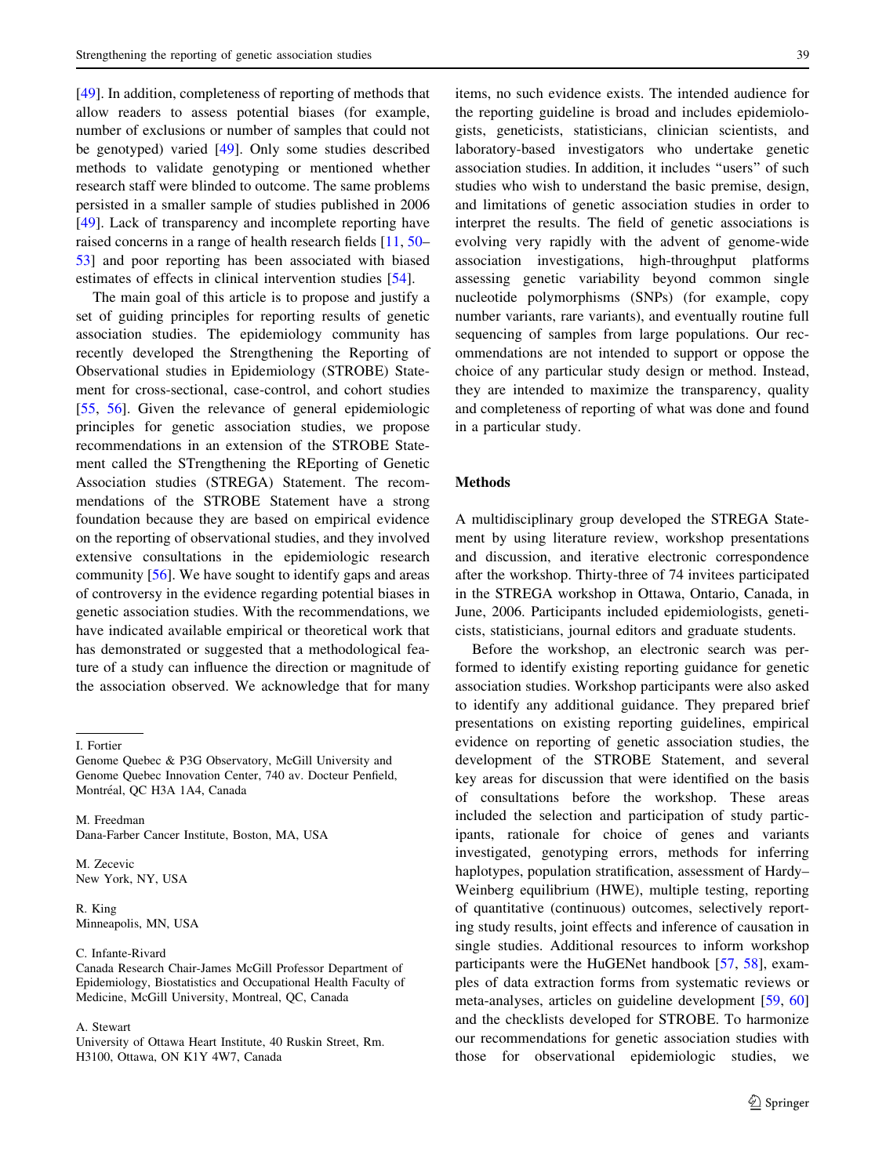[\[49](#page-15-0)]. In addition, completeness of reporting of methods that allow readers to assess potential biases (for example, number of exclusions or number of samples that could not be genotyped) varied [[49\]](#page-15-0). Only some studies described methods to validate genotyping or mentioned whether research staff were blinded to outcome. The same problems persisted in a smaller sample of studies published in 2006 [\[49](#page-15-0)]. Lack of transparency and incomplete reporting have raised concerns in a range of health research fields [\[11](#page-14-0), [50](#page-15-0)– [53\]](#page-15-0) and poor reporting has been associated with biased estimates of effects in clinical intervention studies [[54\]](#page-15-0).

The main goal of this article is to propose and justify a set of guiding principles for reporting results of genetic association studies. The epidemiology community has recently developed the Strengthening the Reporting of Observational studies in Epidemiology (STROBE) Statement for cross-sectional, case-control, and cohort studies [\[55](#page-15-0), [56\]](#page-15-0). Given the relevance of general epidemiologic principles for genetic association studies, we propose recommendations in an extension of the STROBE Statement called the STrengthening the REporting of Genetic Association studies (STREGA) Statement. The recommendations of the STROBE Statement have a strong foundation because they are based on empirical evidence on the reporting of observational studies, and they involved extensive consultations in the epidemiologic research community [\[56](#page-15-0)]. We have sought to identify gaps and areas of controversy in the evidence regarding potential biases in genetic association studies. With the recommendations, we have indicated available empirical or theoretical work that has demonstrated or suggested that a methodological feature of a study can influence the direction or magnitude of the association observed. We acknowledge that for many

M. Freedman Dana-Farber Cancer Institute, Boston, MA, USA

M. Zecevic New York, NY, USA

#### R. King Minneapolis, MN, USA

#### C. Infante-Rivard

Canada Research Chair-James McGill Professor Department of Epidemiology, Biostatistics and Occupational Health Faculty of Medicine, McGill University, Montreal, QC, Canada

#### A. Stewart

University of Ottawa Heart Institute, 40 Ruskin Street, Rm. H3100, Ottawa, ON K1Y 4W7, Canada

items, no such evidence exists. The intended audience for the reporting guideline is broad and includes epidemiologists, geneticists, statisticians, clinician scientists, and laboratory-based investigators who undertake genetic association studies. In addition, it includes ''users'' of such studies who wish to understand the basic premise, design, and limitations of genetic association studies in order to interpret the results. The field of genetic associations is evolving very rapidly with the advent of genome-wide association investigations, high-throughput platforms assessing genetic variability beyond common single nucleotide polymorphisms (SNPs) (for example, copy number variants, rare variants), and eventually routine full sequencing of samples from large populations. Our recommendations are not intended to support or oppose the choice of any particular study design or method. Instead, they are intended to maximize the transparency, quality and completeness of reporting of what was done and found in a particular study.

# Methods

A multidisciplinary group developed the STREGA Statement by using literature review, workshop presentations and discussion, and iterative electronic correspondence after the workshop. Thirty-three of 74 invitees participated in the STREGA workshop in Ottawa, Ontario, Canada, in June, 2006. Participants included epidemiologists, geneticists, statisticians, journal editors and graduate students.

Before the workshop, an electronic search was performed to identify existing reporting guidance for genetic association studies. Workshop participants were also asked to identify any additional guidance. They prepared brief presentations on existing reporting guidelines, empirical evidence on reporting of genetic association studies, the development of the STROBE Statement, and several key areas for discussion that were identified on the basis of consultations before the workshop. These areas included the selection and participation of study participants, rationale for choice of genes and variants investigated, genotyping errors, methods for inferring haplotypes, population stratification, assessment of Hardy– Weinberg equilibrium (HWE), multiple testing, reporting of quantitative (continuous) outcomes, selectively reporting study results, joint effects and inference of causation in single studies. Additional resources to inform workshop participants were the HuGENet handbook [\[57](#page-15-0), [58](#page-15-0)], examples of data extraction forms from systematic reviews or meta-analyses, articles on guideline development [[59,](#page-15-0) [60\]](#page-15-0) and the checklists developed for STROBE. To harmonize our recommendations for genetic association studies with those for observational epidemiologic studies, we

I. Fortier

Genome Quebec & P3G Observatory, McGill University and Genome Quebec Innovation Center, 740 av. Docteur Penfield, Montréal, QC H3A 1A4, Canada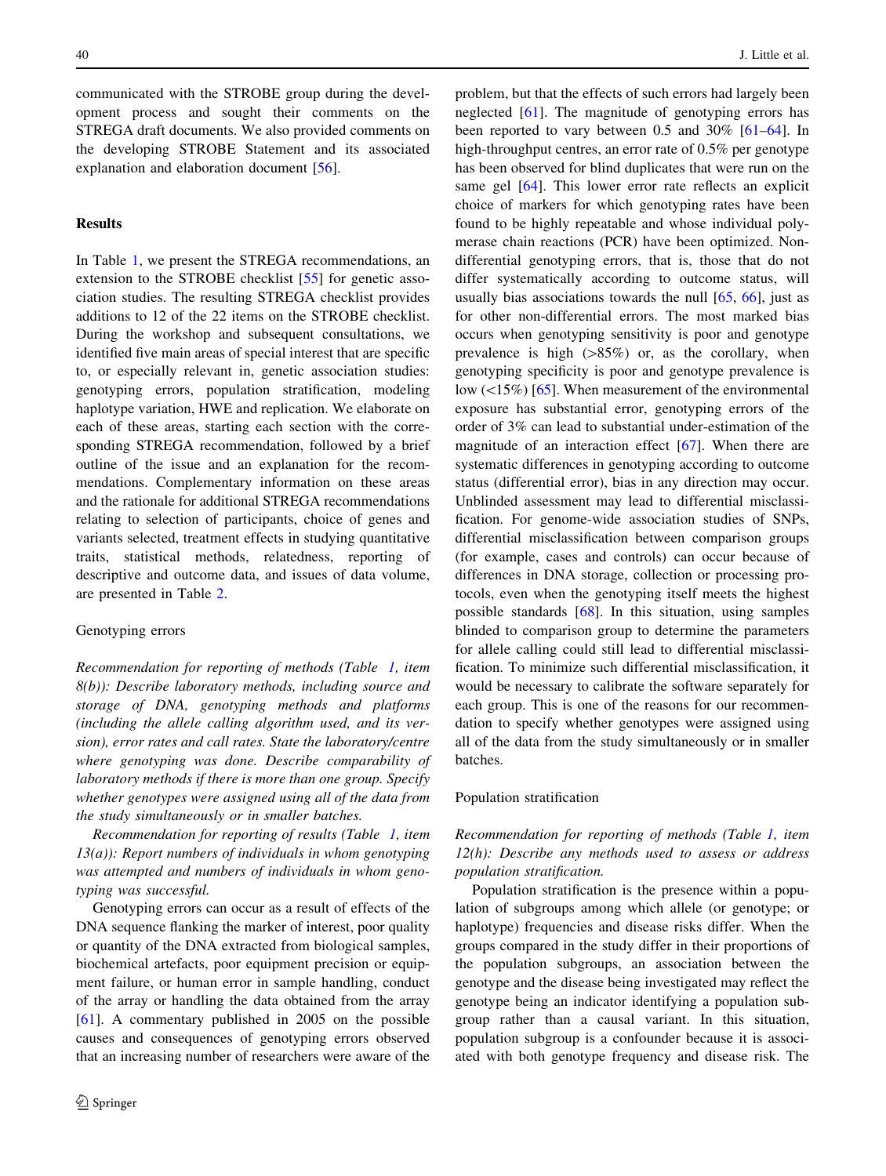communicated with the STROBE group during the development process and sought their comments on the STREGA draft documents. We also provided comments on the developing STROBE Statement and its associated explanation and elaboration document [[56](#page-15-0)].

# **Results**

In Table [1,](#page-4-0) we present the STREGA recommendations, an extension to the STROBE checklist [\[55](#page-15-0)] for genetic association studies. The resulting STREGA checklist provides additions to 12 of the 22 items on the STROBE checklist. During the workshop and subsequent consultations, we identified five main areas of special interest that are specific to, or especially relevant in, genetic association studies: genotyping errors, population stratification, modeling haplotype variation, HWE and replication. We elaborate on each of these areas, starting each section with the corresponding STREGA recommendation, followed by a brief outline of the issue and an explanation for the recommendations. Complementary information on these areas and the rationale for additional STREGA recommendations relating to selection of participants, choice of genes and variants selected, treatment effects in studying quantitative traits, statistical methods, relatedness, reporting of descriptive and outcome data, and issues of data volume, are presented in Table [2.](#page-7-0)

# Genotyping errors

Recommendation for reporting of methods (Table [1,](#page-4-0) item  $8(b)$ ): Describe laboratory methods, including source and storage of DNA, genotyping methods and platforms (including the allele calling algorithm used, and its version), error rates and call rates. State the laboratory/centre where genotyping was done. Describe comparability of laboratory methods if there is more than one group. Specify whether genotypes were assigned using all of the data from the study simultaneously or in smaller batches.

Recommendation for reporting of results (Table [1,](#page-4-0) item  $13(a)$ : Report numbers of individuals in whom genotyping was attempted and numbers of individuals in whom genotyping was successful.

Genotyping errors can occur as a result of effects of the DNA sequence flanking the marker of interest, poor quality or quantity of the DNA extracted from biological samples, biochemical artefacts, poor equipment precision or equipment failure, or human error in sample handling, conduct of the array or handling the data obtained from the array [\[61](#page-15-0)]. A commentary published in 2005 on the possible causes and consequences of genotyping errors observed that an increasing number of researchers were aware of the problem, but that the effects of such errors had largely been neglected [[61\]](#page-15-0). The magnitude of genotyping errors has been reported to vary between 0.5 and 30% [[61–64\]](#page-15-0). In high-throughput centres, an error rate of 0.5% per genotype has been observed for blind duplicates that were run on the same gel [[64\]](#page-15-0). This lower error rate reflects an explicit choice of markers for which genotyping rates have been found to be highly repeatable and whose individual polymerase chain reactions (PCR) have been optimized. Nondifferential genotyping errors, that is, those that do not differ systematically according to outcome status, will usually bias associations towards the null [[65,](#page-15-0) [66\]](#page-16-0), just as for other non-differential errors. The most marked bias occurs when genotyping sensitivity is poor and genotype prevalence is high  $(>\!\!85\%)$  or, as the corollary, when genotyping specificity is poor and genotype prevalence is low  $(\langle 15\%$ ) [[65\]](#page-15-0). When measurement of the environmental exposure has substantial error, genotyping errors of the order of 3% can lead to substantial under-estimation of the magnitude of an interaction effect [\[67](#page-16-0)]. When there are systematic differences in genotyping according to outcome status (differential error), bias in any direction may occur. Unblinded assessment may lead to differential misclassification. For genome-wide association studies of SNPs, differential misclassification between comparison groups (for example, cases and controls) can occur because of differences in DNA storage, collection or processing protocols, even when the genotyping itself meets the highest possible standards [[68\]](#page-16-0). In this situation, using samples blinded to comparison group to determine the parameters for allele calling could still lead to differential misclassification. To minimize such differential misclassification, it would be necessary to calibrate the software separately for each group. This is one of the reasons for our recommendation to specify whether genotypes were assigned using all of the data from the study simultaneously or in smaller batches.

#### Population stratification

# Recommendation for reporting of methods (Table [1](#page-4-0), item  $12(h)$ : Describe any methods used to assess or address population stratification.

Population stratification is the presence within a population of subgroups among which allele (or genotype; or haplotype) frequencies and disease risks differ. When the groups compared in the study differ in their proportions of the population subgroups, an association between the genotype and the disease being investigated may reflect the genotype being an indicator identifying a population subgroup rather than a causal variant. In this situation, population subgroup is a confounder because it is associated with both genotype frequency and disease risk. The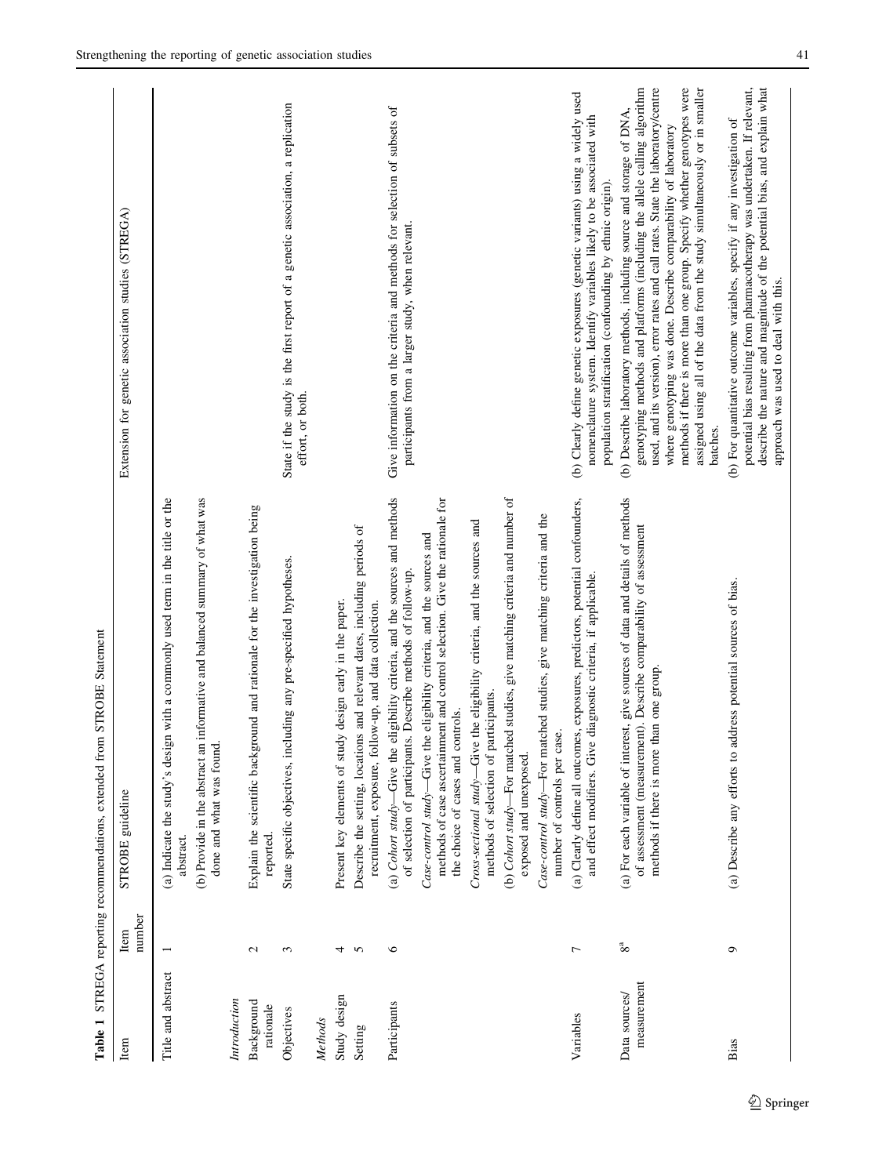<span id="page-4-0"></span>

| Table 1                      |                | STREGA reporting recommendations, extended from STROBE Statement                                                                                                                                |                                                                                                                                                                                                                                                                                                                                                                                                                                                                             |
|------------------------------|----------------|-------------------------------------------------------------------------------------------------------------------------------------------------------------------------------------------------|-----------------------------------------------------------------------------------------------------------------------------------------------------------------------------------------------------------------------------------------------------------------------------------------------------------------------------------------------------------------------------------------------------------------------------------------------------------------------------|
| Item                         | number<br>Item | STROBE guideline                                                                                                                                                                                | Extension for genetic association studies (STREGA)                                                                                                                                                                                                                                                                                                                                                                                                                          |
| Title and abstract           |                | (a) Indicate the study's design with a commonly used term in the title or the<br>abstract.                                                                                                      |                                                                                                                                                                                                                                                                                                                                                                                                                                                                             |
|                              |                | (b) Provide in the abstract an informative and balanced summary of what was<br>done and what was found.                                                                                         |                                                                                                                                                                                                                                                                                                                                                                                                                                                                             |
| Introduction                 |                |                                                                                                                                                                                                 |                                                                                                                                                                                                                                                                                                                                                                                                                                                                             |
| Background<br>rationale      | $\mathbf 2$    | Explain the scientific background and rationale for the investigation being<br>reported.                                                                                                        |                                                                                                                                                                                                                                                                                                                                                                                                                                                                             |
| Objectives                   | $\epsilon$     | State specific objectives, including any pre-specified hypotheses.                                                                                                                              | State if the study is the first report of a genetic association, a replication<br>effort, or both.                                                                                                                                                                                                                                                                                                                                                                          |
| Methods                      |                |                                                                                                                                                                                                 |                                                                                                                                                                                                                                                                                                                                                                                                                                                                             |
| Study design                 | 4              | Present key elements of study design early in the paper.                                                                                                                                        |                                                                                                                                                                                                                                                                                                                                                                                                                                                                             |
| Setting                      | $\sigma$       | Describe the setting, locations and relevant dates, including periods of<br>recruitment, exposure, follow-up, and data collection.                                                              |                                                                                                                                                                                                                                                                                                                                                                                                                                                                             |
| Participants                 | $\circ$        | (a) Cohort study-Give the eligibility criteria, and the sources and methods<br>of selection of participants. Describe methods of follow-up.                                                     | Give information on the criteria and methods for selection of subsets of<br>participants from a larger study, when relevant.                                                                                                                                                                                                                                                                                                                                                |
|                              |                | methods of case ascertainment and control selection. Give the rationale for<br>the eligibility criteria, and the sources and<br>controls.<br>Case-control study-Give<br>the choice of cases and |                                                                                                                                                                                                                                                                                                                                                                                                                                                                             |
|                              |                | Cross-sectional study-Give the eligibility criteria, and the sources and<br>participants.<br>methods of selection of                                                                            |                                                                                                                                                                                                                                                                                                                                                                                                                                                                             |
|                              |                | (b) Cohort study-For matched studies, give matching criteria and number of<br>exposed and unexposed.                                                                                            |                                                                                                                                                                                                                                                                                                                                                                                                                                                                             |
|                              |                | Case-control study-For matched studies, give matching criteria and the<br>number of controls per case.                                                                                          |                                                                                                                                                                                                                                                                                                                                                                                                                                                                             |
| Variables                    | $\overline{ }$ | (a) Clearly define all outcomes, exposures, predictors, potential confounders,<br>and effect modifiers. Give diagnostic criteria, if applicable.                                                | (b) Clearly define genetic exposures (genetic variants) using a widely used<br>nomenclature system. Identify variables likely to be associated with<br>population stratification (confounding by ethnic origin)                                                                                                                                                                                                                                                             |
| measurement<br>Data sources/ | $8^{\rm a}$    | (a) For each variable of interest, give sources of data and details of methods<br>of assessment (measurement). Describe comparability of assessment<br>methods if there is more than one group. | genotyping methods and platforms (including the allele calling algorithm<br>methods if there is more than one group. Specify whether genotypes were<br>assigned using all of the data from the study simultaneously or in smaller<br>used, and its version), error rates and call rates. State the laboratory/centre<br>(b) Describe laboratory methods, including source and storage of DNA<br>where genotyping was done. Describe comparability of laboratory<br>batches. |
| Bias                         | $\circ$        | address potential sources of bias.<br>(a) Describe any efforts to                                                                                                                               | describe the nature and magnitude of the potential bias, and explain what<br>potential bias resulting from pharmacotherapy was undertaken. If relevant,<br>(b) For quantitative outcome variables, specify if any investigation of<br>approach was used to deal with this.                                                                                                                                                                                                  |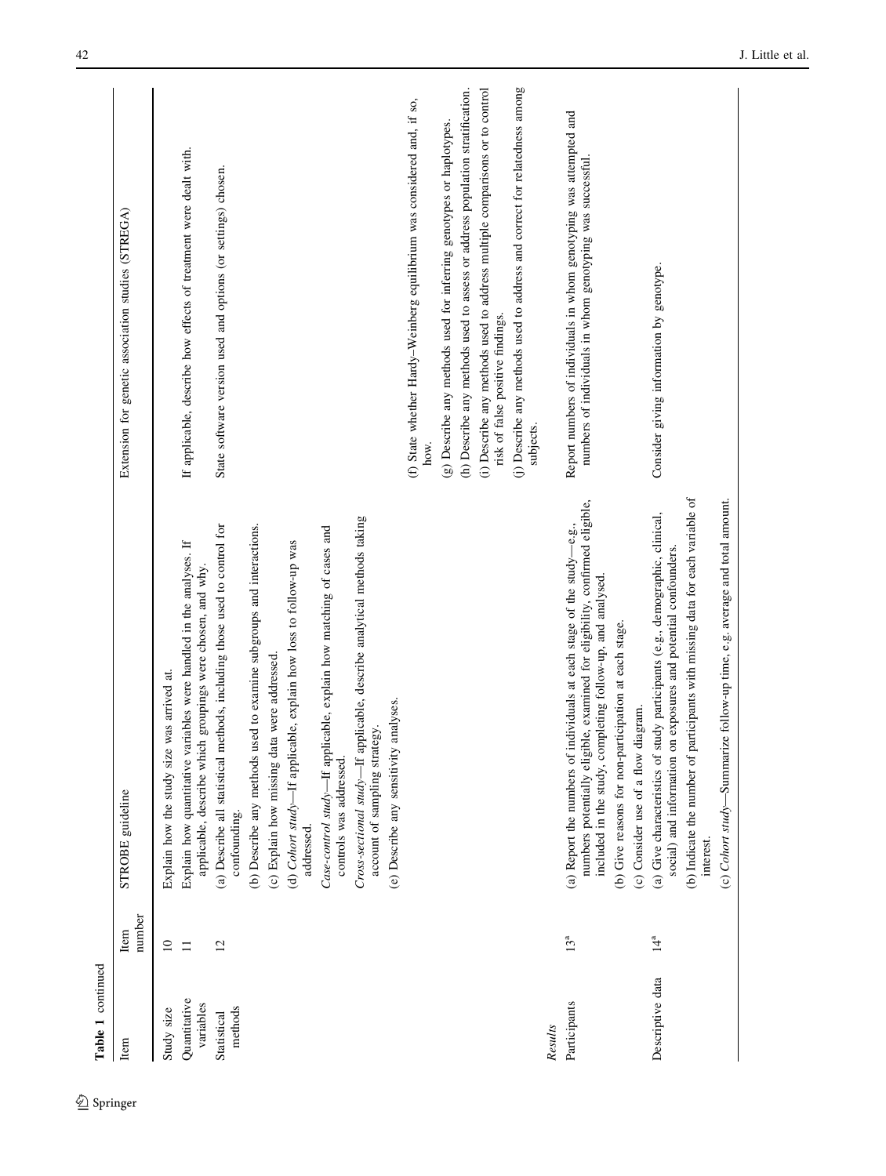| Table 1 continued                       |                         |                                                                                                                                                                                                                                                                                                                        |                                                                                                                                 |
|-----------------------------------------|-------------------------|------------------------------------------------------------------------------------------------------------------------------------------------------------------------------------------------------------------------------------------------------------------------------------------------------------------------|---------------------------------------------------------------------------------------------------------------------------------|
| Item                                    | number<br>Item          | STROBE guideline                                                                                                                                                                                                                                                                                                       | Extension for genetic association studies (STREGA)                                                                              |
| Quantitative<br>variables<br>Study size | $\supseteq$<br>$\equiv$ | Explain how quantitative variables were handled in the analyses. If<br>applicable, describe which groupings were chosen, and why.<br>was arrived at.<br>Explain how the study size                                                                                                                                     | If applicable, describe how effects of treatment were dealt with.                                                               |
| methods<br>Statistical                  | $\overline{c}$          | (a) Describe all statistical methods, including those used to control for<br>(b) Describe any methods used to examine subgroups and interactions.<br>(d) Cohort study-If applicable, explain how loss to follow-up was<br>(c) Explain how missing data were addressed<br>confounding.<br>addressed.                    | State software version used and options (or settings) chosen.                                                                   |
|                                         |                         | Case-control study-If applicable, explain how matching of cases and<br>controls was addressed.                                                                                                                                                                                                                         |                                                                                                                                 |
|                                         |                         | Cross-sectional study-If applicable, describe analytical methods taking<br>analyses.<br>account of sampling strategy.<br>(e) Describe any sensitivity                                                                                                                                                                  |                                                                                                                                 |
|                                         |                         |                                                                                                                                                                                                                                                                                                                        | (f) State whether Hardy-Weinberg equilibrium was considered and, if so,<br>how.                                                 |
|                                         |                         |                                                                                                                                                                                                                                                                                                                        | (g) Describe any methods used for inferring genotypes or haplotypes.                                                            |
|                                         |                         |                                                                                                                                                                                                                                                                                                                        | (h) Describe any methods used to assess or address population stratification.                                                   |
|                                         |                         |                                                                                                                                                                                                                                                                                                                        | (i) Describe any methods used to address multiple comparisons or to control<br>risk of false positive findings.                 |
|                                         |                         |                                                                                                                                                                                                                                                                                                                        | (j) Describe any methods used to address and correct for relatedness among<br>subjects.                                         |
| Results                                 |                         |                                                                                                                                                                                                                                                                                                                        |                                                                                                                                 |
| Participants                            | 13 <sup>a</sup>         | numbers potentially eligible, examined for eligibility, confirmed eligible,<br>(a) Report the numbers of individuals at each stage of the study- $-e.g.,$<br>included in the study, completing follow-up, and analysed<br>(b) Give reasons for non-participation at each stage.<br>(c) Consider use of a flow diagram. | Report numbers of individuals in whom genotyping was attempted and<br>numbers of individuals in whom genotyping was successful. |
| Descriptive data                        | $14^a$                  | (b) Indicate the number of participants with missing data for each variable of<br>(a) Give characteristics of study participants (e.g., demographic, clinical,<br>social) and information on exposures and potential confounders.<br>interest.                                                                         | Consider giving information by genotype.                                                                                        |
|                                         |                         | (c) $Color$ -Summarize follow-up time, e.g. average and total amount.                                                                                                                                                                                                                                                  |                                                                                                                                 |
|                                         |                         |                                                                                                                                                                                                                                                                                                                        |                                                                                                                                 |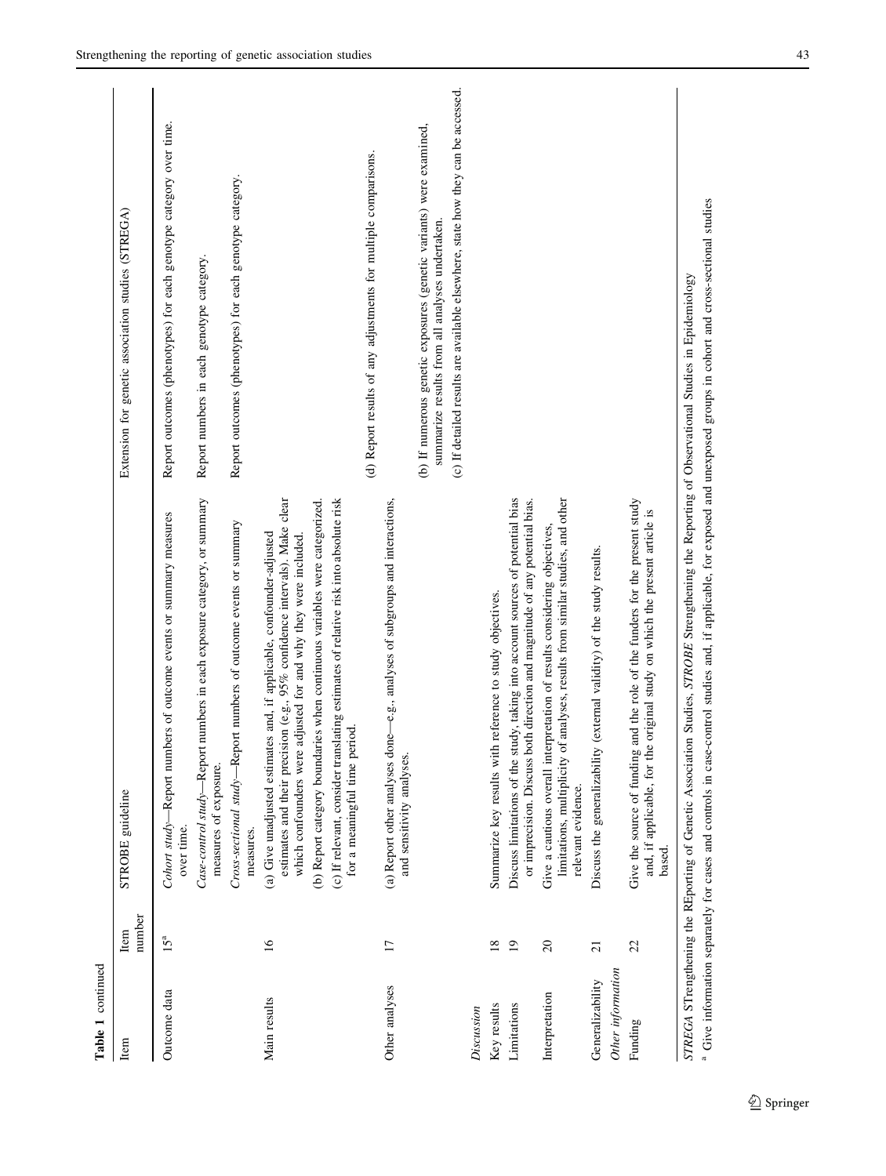| Table 1 continued                     |                 |                                                                                                                                                                                                                                                                                                                                      |                                                                                                                                                                                                            |
|---------------------------------------|-----------------|--------------------------------------------------------------------------------------------------------------------------------------------------------------------------------------------------------------------------------------------------------------------------------------------------------------------------------------|------------------------------------------------------------------------------------------------------------------------------------------------------------------------------------------------------------|
| Item                                  | number<br>Item  | STROBE guideline                                                                                                                                                                                                                                                                                                                     | Extension for genetic association studies (STREGA)                                                                                                                                                         |
| Outcome data                          | $15^a$          | -Report numbers of outcome events or summary measures<br>Cohort study-<br>over time.                                                                                                                                                                                                                                                 | Report outcomes (phenotypes) for each genotype category over time.                                                                                                                                         |
|                                       |                 | Case-control study-Report numbers in each exposure category, or summary<br>measures of exposure.                                                                                                                                                                                                                                     | Report numbers in each genotype category.                                                                                                                                                                  |
|                                       |                 | Cross-sectional study—Report numbers of outcome events or summary<br>measures.                                                                                                                                                                                                                                                       | Report outcomes (phenotypes) for each genotype category.                                                                                                                                                   |
| Main results                          | $\overline{16}$ | estimates and their precision (e.g., 95% confidence intervals). Make clear<br>(a) Give unadjusted estimates and, if applicable, confounder-adjusted<br>adjusted for and why they were included.<br>which confounders were                                                                                                            |                                                                                                                                                                                                            |
|                                       |                 | (b) Report category boundaries when continuous variables were categorized.                                                                                                                                                                                                                                                           |                                                                                                                                                                                                            |
|                                       |                 | (c) If relevant, consider translating estimates of relative risk into absolute risk<br>for a meaningful time period                                                                                                                                                                                                                  |                                                                                                                                                                                                            |
|                                       |                 |                                                                                                                                                                                                                                                                                                                                      | (d) Report results of any adjustments for multiple comparisons.                                                                                                                                            |
| Other analyses                        | $\Box$          | (a) Report other analyses done—e.g., analyses of subgroups and interactions,<br>and sensitivity analyses.                                                                                                                                                                                                                            |                                                                                                                                                                                                            |
|                                       |                 |                                                                                                                                                                                                                                                                                                                                      | (c) If detailed results are available elsewhere, state how they can be accessed.<br>(b) If numerous genetic exposures (genetic variants) were examined,<br>summarize results from all analyses undertaken. |
| Discussion                            |                 |                                                                                                                                                                                                                                                                                                                                      |                                                                                                                                                                                                            |
| Key results                           | $\overline{18}$ | Summarize key results with reference to study objectives.                                                                                                                                                                                                                                                                            |                                                                                                                                                                                                            |
| Limitations                           | $\overline{19}$ | Discuss limitations of the study, taking into account sources of potential bias<br>or imprecision. Discuss both direction and magnitude of any potential bias.                                                                                                                                                                       |                                                                                                                                                                                                            |
| Interpretation                        | $\Omega$        | limitations, multiplicity of analyses, results from similar studies, and other<br>Give a cautious overall interpretation of results considering objectives,<br>relevant evidence.                                                                                                                                                    |                                                                                                                                                                                                            |
| Other information<br>Generalizability | $\overline{c}$  | Discuss the generalizability (external validity) of the study results.                                                                                                                                                                                                                                                               |                                                                                                                                                                                                            |
| Funding                               | 22              | and the role of the funders for the present study<br>and, if applicable, for the original study on which the present article is<br>Give the source of funding<br>based.                                                                                                                                                              |                                                                                                                                                                                                            |
|                                       |                 | <sup>a</sup> Give information separately for cases and controls in case-control studies and, if applicable, for exposed and unexposed groups in cohort and cross-sectional studies<br>STREGA STrengthening the REporting of Genetic Association Studies, STROBE Strengthening the Reporting of Observational Studies in Epidemiology |                                                                                                                                                                                                            |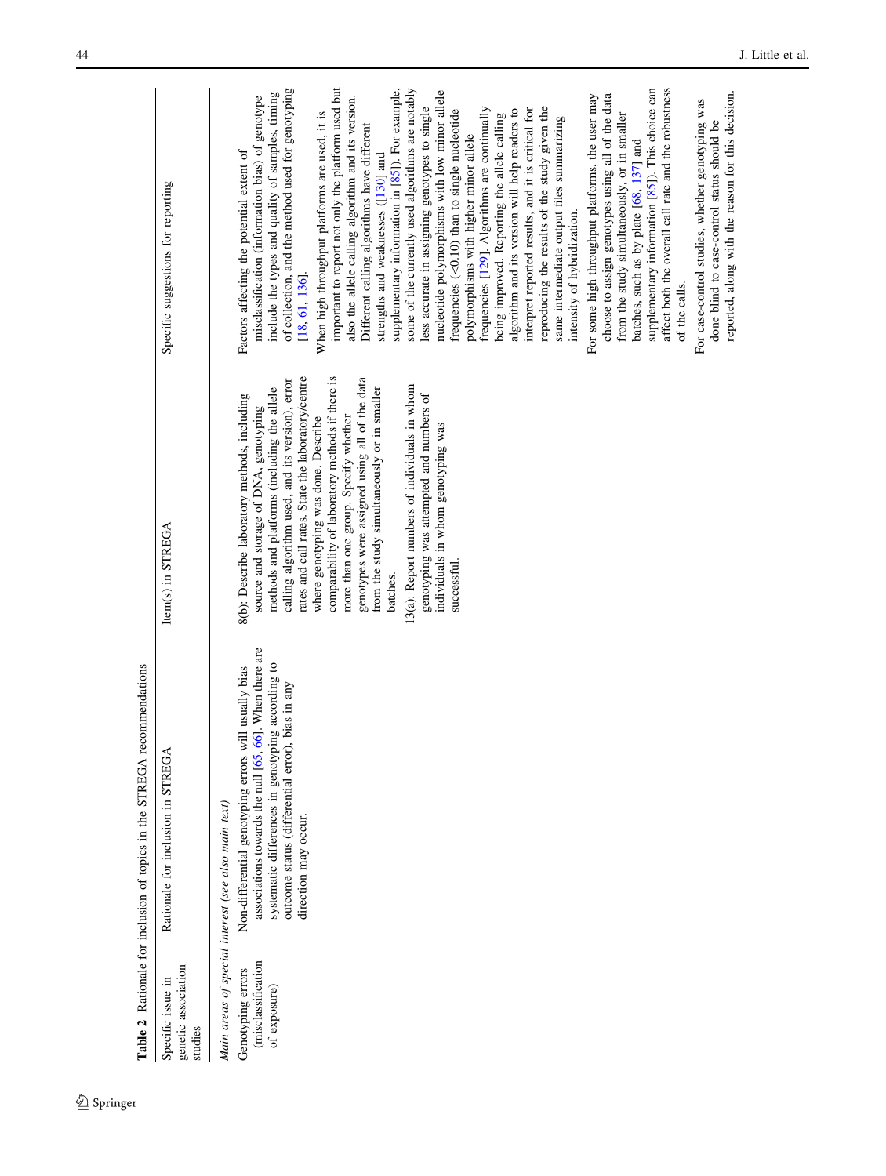<span id="page-7-0"></span>

|                                                         | Table 2 Rationale for inclusion of topics in the STREGA recommendations                                                                                                                                                                            |                                                                                                                                                                                                                                                                                                                                                                                                                                                                                                                                                                                                                                            |                                                                                                                                                                                                                                                                                                                                                                                                                                                                                                                                                                                                                                                                                                                                                                                                                                                                                                                                                                                                                                                                                                                                                                                                                                                                                                                                                                                                                                                                                                                                                                                                                               |
|---------------------------------------------------------|----------------------------------------------------------------------------------------------------------------------------------------------------------------------------------------------------------------------------------------------------|--------------------------------------------------------------------------------------------------------------------------------------------------------------------------------------------------------------------------------------------------------------------------------------------------------------------------------------------------------------------------------------------------------------------------------------------------------------------------------------------------------------------------------------------------------------------------------------------------------------------------------------------|-------------------------------------------------------------------------------------------------------------------------------------------------------------------------------------------------------------------------------------------------------------------------------------------------------------------------------------------------------------------------------------------------------------------------------------------------------------------------------------------------------------------------------------------------------------------------------------------------------------------------------------------------------------------------------------------------------------------------------------------------------------------------------------------------------------------------------------------------------------------------------------------------------------------------------------------------------------------------------------------------------------------------------------------------------------------------------------------------------------------------------------------------------------------------------------------------------------------------------------------------------------------------------------------------------------------------------------------------------------------------------------------------------------------------------------------------------------------------------------------------------------------------------------------------------------------------------------------------------------------------------|
| genetic association<br>Specific issue in<br>studies     | Rationale for inclusion in STREGA                                                                                                                                                                                                                  | Item(s) in STREGA                                                                                                                                                                                                                                                                                                                                                                                                                                                                                                                                                                                                                          | Specific suggestions for reporting                                                                                                                                                                                                                                                                                                                                                                                                                                                                                                                                                                                                                                                                                                                                                                                                                                                                                                                                                                                                                                                                                                                                                                                                                                                                                                                                                                                                                                                                                                                                                                                            |
|                                                         | Main areas of special interest (see also main text)                                                                                                                                                                                                |                                                                                                                                                                                                                                                                                                                                                                                                                                                                                                                                                                                                                                            |                                                                                                                                                                                                                                                                                                                                                                                                                                                                                                                                                                                                                                                                                                                                                                                                                                                                                                                                                                                                                                                                                                                                                                                                                                                                                                                                                                                                                                                                                                                                                                                                                               |
| (misclassification<br>Genotyping errors<br>of exposure) | associations towards the null [65, 66]. When there are<br>systematic differences in genotyping according to<br>Non-differential genotyping errors will usually bias<br>bias in any<br>outcome status (differential error),<br>direction may occur. | comparability of laboratory methods if there is<br>rates and call rates. State the laboratory/centre<br>genotypes were assigned using all of the data<br>calling algorithm used, and its version), error<br>13(a): Report numbers of individuals in whom<br>from the study simultaneously or in smaller<br>methods and platforms (including the allele<br>genotyping was attempted and numbers of<br>8(b): Describe laboratory methods, including<br>source and storage of DNA, genotyping<br>more than one group. Specify whether<br>where genotyping was done. Describe<br>individuals in whom genotyping was<br>successful.<br>batches. | important to report not only the platform used but<br>supplementary information in $[85]$ ). For example,<br>supplementary information [85]). This choice can<br>affect both the overall call rate and the robustness<br>of collection, and the method used for genotyping<br>some of the currently used algorithms are notably<br>reported, along with the reason for this decision.<br>nucleotide polymorphisms with low minor allele<br>include the types and quality of samples, timing<br>choose to assign genotypes using all of the data<br>For some high throughput platforms, the user may<br>misclassification (information bias) of genotype<br>also the allele calling algorithm and its version.<br>For case-control studies, whether genotyping was<br>less accurate in assigning genotypes to single<br>reproducing the results of the study given the<br>frequencies [129]. Algorithms are continually<br>algorithm and its version will help readers to<br>interpret reported results, and it is critical for<br>frequencies $(<0.10)$ than to single nucleotide<br>When high throughput platforms are used, it is<br>from the study simultaneously, or in smaller<br>being improved. Reporting the allele calling<br>same intermediate output files summarizing<br>done blind to case-control status should be<br>Different calling algorithms have different<br>polymorphisms with higher minor allele<br>batches, such as by plate [68, 137] and<br>Factors affecting the potential extent of<br>strengths and weaknesses ([130] and<br>intensity of hybridization.<br>$[18, 61, 136]$ .<br>of the calls. |
|                                                         |                                                                                                                                                                                                                                                    |                                                                                                                                                                                                                                                                                                                                                                                                                                                                                                                                                                                                                                            |                                                                                                                                                                                                                                                                                                                                                                                                                                                                                                                                                                                                                                                                                                                                                                                                                                                                                                                                                                                                                                                                                                                                                                                                                                                                                                                                                                                                                                                                                                                                                                                                                               |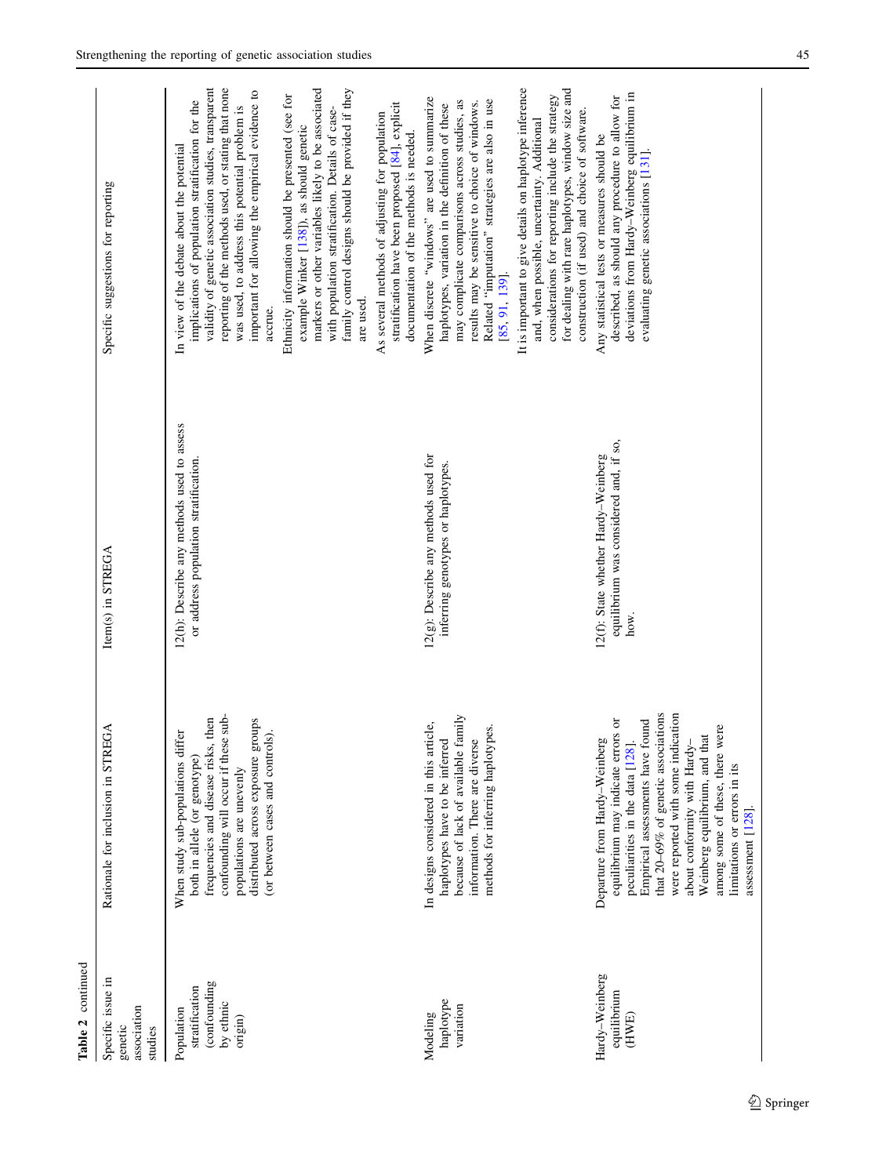| Table 2 continued                                                    |                                                                                                                                                                                                                                                                                                                                                                                    |                                                                                       |                                                                                                                                                                                                                                                                                                                                                                                                                                                                                                                                                                                                              |
|----------------------------------------------------------------------|------------------------------------------------------------------------------------------------------------------------------------------------------------------------------------------------------------------------------------------------------------------------------------------------------------------------------------------------------------------------------------|---------------------------------------------------------------------------------------|--------------------------------------------------------------------------------------------------------------------------------------------------------------------------------------------------------------------------------------------------------------------------------------------------------------------------------------------------------------------------------------------------------------------------------------------------------------------------------------------------------------------------------------------------------------------------------------------------------------|
| Specific issue in<br>association<br>genetic<br>studies               | EGA<br>Rationale for inclusion in STR                                                                                                                                                                                                                                                                                                                                              | Item(s) in STREGA                                                                     | Specific suggestions for reporting                                                                                                                                                                                                                                                                                                                                                                                                                                                                                                                                                                           |
| (confounding<br>stratification<br>by ethnic<br>Population<br>origin) | confounding will occur if these sub-<br>frequencies and disease risks, then<br>distributed across exposure groups<br>When study sub-populations differ<br>(or between cases and controls).<br>both in allele (or genotype)<br>populations are unevenly                                                                                                                             | 12(h): Describe any methods used to assess<br>or address population stratification.   | validity of genetic association studies, transparent<br>reporting of the methods used, or stating that none<br>family control designs should be provided if they<br>markers or other variables likely to be associated<br>important for allowing the empirical evidence to<br>Ethnicity information should be presented (see for<br>implications of population stratification for the<br>was used, to address this potential problem is<br>with population stratification. Details of case-<br>example Winker [138]), as should genetic<br>In view of the debate about the potential<br>are used.<br>accrue. |
|                                                                      |                                                                                                                                                                                                                                                                                                                                                                                    |                                                                                       | stratification have been proposed [84], explicit<br>As several methods of adjusting for population<br>documentation of the methods is needed.                                                                                                                                                                                                                                                                                                                                                                                                                                                                |
| haplotype<br>variation<br>Modeling                                   | because of lack of available family<br>In designs considered in this article,<br>methods for inferring haplotypes.<br>haplotypes have to be inferred<br>information. There are diverse                                                                                                                                                                                             | 12(g): Describe any methods used for<br>inferring genotypes or haplotypes.            | When discrete "windows" are used to summarize<br>Related "imputation" strategies are also in use<br>may complicate comparisons across studies, as<br>results may be sensitive to choice of windows.<br>haplotypes, variation in the definition of these<br>$[85, 91, 139]$ .                                                                                                                                                                                                                                                                                                                                 |
|                                                                      |                                                                                                                                                                                                                                                                                                                                                                                    |                                                                                       | It is important to give details on haplotype inference<br>for dealing with rare haplotypes, window size and<br>considerations for reporting include the strategy<br>construction (if used) and choice of software.<br>and, when possible, uncertainty. Additional                                                                                                                                                                                                                                                                                                                                            |
| Hardy-Weinberg<br>equilibrium<br>(HWE)                               | that 20-69% of genetic associations<br>were reported with some indication<br>equilibrium may indicate errors or<br>Empirical assessments have found<br>among some of these, there were<br>Weinberg equilibrium, and that<br>Departure from Hardy-Weinberg<br>peculiarities in the data [128].<br>about conformity with Hardy-<br>limitations or errors in its<br>assessment [128]. | equilibrium was considered and, if so,<br>12(f): State whether Hardy-Weinberg<br>how. | deviations from Hardy-Weinberg equilibrium in<br>described, as should any procedure to allow for<br>Any statistical tests or measures should be<br>evaluating genetic associations [131]                                                                                                                                                                                                                                                                                                                                                                                                                     |
|                                                                      |                                                                                                                                                                                                                                                                                                                                                                                    |                                                                                       |                                                                                                                                                                                                                                                                                                                                                                                                                                                                                                                                                                                                              |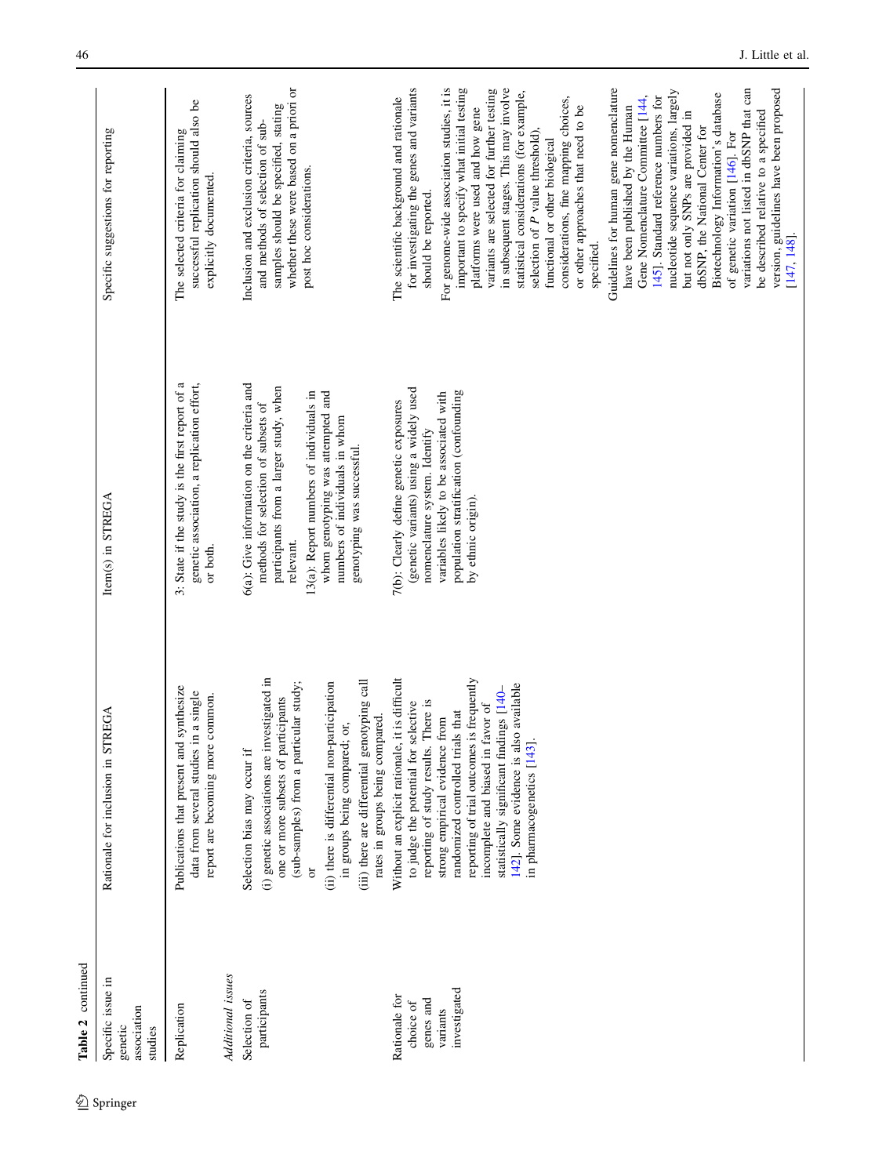| Table 2 continued                                      |                                                                                                                                                                                                                                                                                                                                                                               |                                                                                                                                                                                                                                                                                                                                    |                                                                                                                                                                                                                                                                                                                                                                                                                                                                                                                                                                                                                                                                                                                                                                                                                                                                                                          |
|--------------------------------------------------------|-------------------------------------------------------------------------------------------------------------------------------------------------------------------------------------------------------------------------------------------------------------------------------------------------------------------------------------------------------------------------------|------------------------------------------------------------------------------------------------------------------------------------------------------------------------------------------------------------------------------------------------------------------------------------------------------------------------------------|----------------------------------------------------------------------------------------------------------------------------------------------------------------------------------------------------------------------------------------------------------------------------------------------------------------------------------------------------------------------------------------------------------------------------------------------------------------------------------------------------------------------------------------------------------------------------------------------------------------------------------------------------------------------------------------------------------------------------------------------------------------------------------------------------------------------------------------------------------------------------------------------------------|
| Specific issue in<br>association<br>genetic<br>studies | REGA<br>Rationale for inclusion in ST                                                                                                                                                                                                                                                                                                                                         | Item(s) in STREGA                                                                                                                                                                                                                                                                                                                  | Specific suggestions for reporting                                                                                                                                                                                                                                                                                                                                                                                                                                                                                                                                                                                                                                                                                                                                                                                                                                                                       |
| Replication                                            | synthesize<br>data from several studies in a single<br>report are becoming more common.<br>Publications that present and                                                                                                                                                                                                                                                      | 3: State if the study is the first report of a<br>genetic association, a replication effort,<br>or both.                                                                                                                                                                                                                           | successful replication should also be<br>The selected criteria for claiming<br>explicitly documented.                                                                                                                                                                                                                                                                                                                                                                                                                                                                                                                                                                                                                                                                                                                                                                                                    |
| Additional issues                                      |                                                                                                                                                                                                                                                                                                                                                                               |                                                                                                                                                                                                                                                                                                                                    |                                                                                                                                                                                                                                                                                                                                                                                                                                                                                                                                                                                                                                                                                                                                                                                                                                                                                                          |
| participants<br>Selection of                           | (i) genetic associations are investigated in<br>it is difficult<br>(iii) there are differential genotyping call<br>(sub-samples) from a particular study;<br>(ii) there is differential non-participation<br>one or more subsets of participants<br>rates in groups being compared.<br>σr,<br>in groups being compared;<br>Selection bias may occur if<br>$\overline{\sigma}$ | 6(a): Give information on the criteria and<br>participants from a larger study, when<br>13(a): Report numbers of individuals in<br>whom genotyping was attempted and<br>7(b): Clearly define genetic exposures<br>methods for selection of subsets of<br>numbers of individuals in whom<br>genotyping was successful.<br>relevant. | whether these were based on a priori or<br>Inclusion and exclusion criteria, sources<br>samples should be specified, stating<br>and methods of selection of sub-<br>post hoc considerations.                                                                                                                                                                                                                                                                                                                                                                                                                                                                                                                                                                                                                                                                                                             |
| investigated<br>genes and<br>choice of<br>variants     | reporting of trial outcomes is frequently<br>142]. Some evidence is also available<br>statistically significant findings [140-<br>There is<br>to judge the potential for selective<br>incomplete and biased in favor of<br>randomized controlled trials that<br>from<br>strong empirical evidence 1<br>in pharmacogenetics [143].<br>reporting of study results.              | (genetic variants) using a widely used<br>population stratification (confounding<br>variables likely to be associated with<br>nomenclature system. Identify<br>by ethnic origin).                                                                                                                                                  | For genome-wide association studies, it is<br>for investigating the genes and variants<br>important to specify what initial testing<br>variants are selected for further testing<br>in subsequent stages. This may involve<br>variations not listed in dbSNP that can<br>Guidelines for human gene nomenclature<br>nucleotide sequence variations, largely<br>statistical considerations (for example,<br>Biotechnology Information's database<br>145]. Standard reference numbers for<br>considerations, fine mapping choices,<br>Gene Nomenclature Committee [144,<br>have been published by the Human<br>or other approaches that need to be<br>platforms were used and how gene<br>but not only SNPs are provided in<br>dbSNP, the National Center for<br>selection of P value threshold),<br>of genetic variation [146]. For<br>functional or other biological<br>should be reported.<br>specified. |
|                                                        |                                                                                                                                                                                                                                                                                                                                                                               |                                                                                                                                                                                                                                                                                                                                    | version, guidelines have been proposed<br>be described relative to a specified<br>$[147, 148]$ .                                                                                                                                                                                                                                                                                                                                                                                                                                                                                                                                                                                                                                                                                                                                                                                                         |

 $\underline{\textcircled{\tiny 2}}$  Springer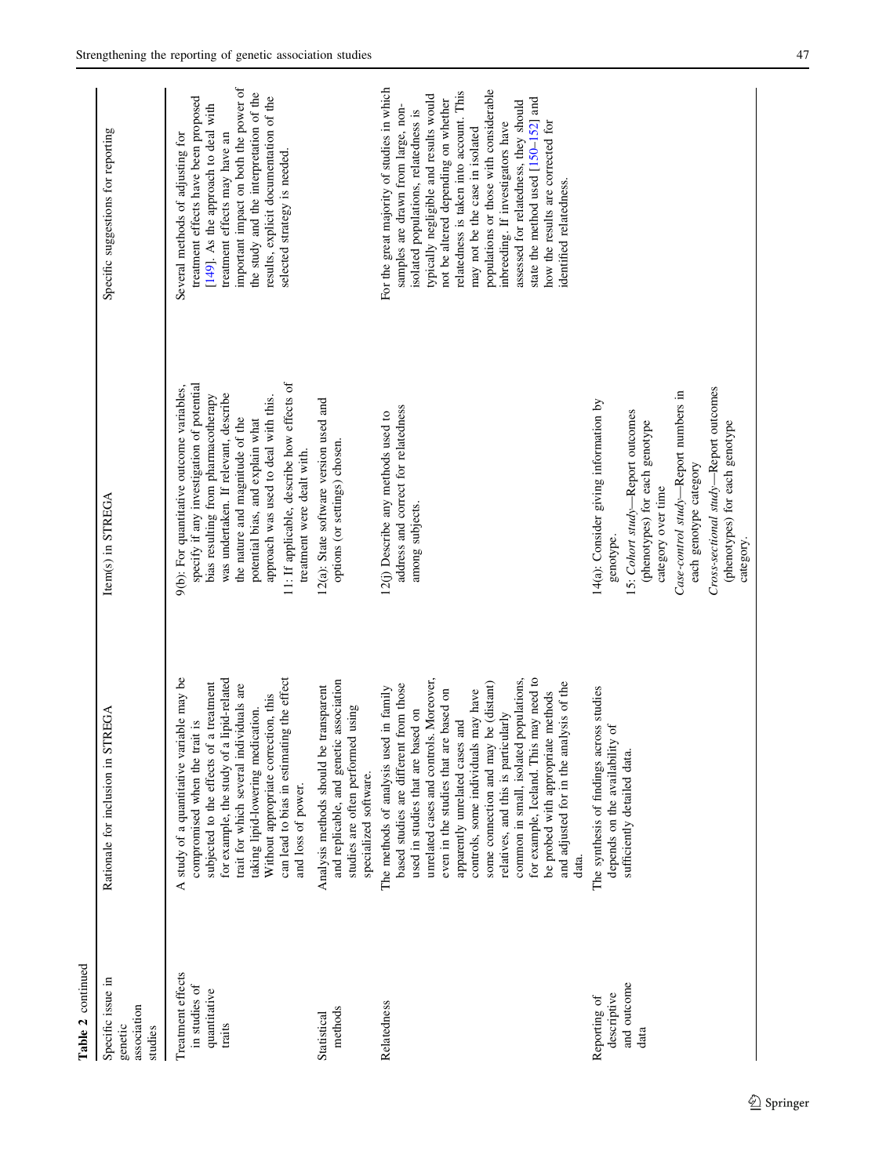| Table 2 continued                                            |                                                                                                                                                                                                                                                                                                                                                                                                                                                                                                                                                 |                                                                                                                                                                                                                                                                                                                                                                   |                                                                                                                                                                                                                                                                                                                                                                                                                                                                                                                        |
|--------------------------------------------------------------|-------------------------------------------------------------------------------------------------------------------------------------------------------------------------------------------------------------------------------------------------------------------------------------------------------------------------------------------------------------------------------------------------------------------------------------------------------------------------------------------------------------------------------------------------|-------------------------------------------------------------------------------------------------------------------------------------------------------------------------------------------------------------------------------------------------------------------------------------------------------------------------------------------------------------------|------------------------------------------------------------------------------------------------------------------------------------------------------------------------------------------------------------------------------------------------------------------------------------------------------------------------------------------------------------------------------------------------------------------------------------------------------------------------------------------------------------------------|
| Specific issue in<br>association<br>studies<br>genetic       | <b>STREGA</b><br>Rationale for inclusion in                                                                                                                                                                                                                                                                                                                                                                                                                                                                                                     | Item(s) in STREGA                                                                                                                                                                                                                                                                                                                                                 | Specific suggestions for reporting                                                                                                                                                                                                                                                                                                                                                                                                                                                                                     |
| Treatment effects<br>in studies of<br>quantitative<br>traits | A study of a quantitative variable may be<br>for example, the study of a lipid-related<br>can lead to bias in estimating the effect<br>subjected to the effects of a treatment<br>trait for which several individuals are<br>Without appropriate correction, this<br>taking lipid-lowering medication.<br>compromised when the trait is<br>and loss of power.                                                                                                                                                                                   | 11: If applicable, describe how effects of<br>specify if any investigation of potential<br>9(b): For quantitative outcome variables,<br>was undertaken. If relevant, describe<br>approach was used to deal with this.<br>bias resulting from pharmacotherapy<br>the nature and magnitude of the<br>potential bias, and explain what<br>treatment were dealt with. | important impact on both the power of<br>the study and the interpretation of the<br>results, explicit documentation of the<br>treatment effects have been proposed<br>[149]. As the approach to deal with<br>treatment effects may have an<br>Several methods of adjusting for<br>selected strategy is needed.                                                                                                                                                                                                         |
| methods<br>Statistical                                       | and replicable, and genetic association<br>Analysis methods should be transparent<br>studies are often performed using<br>specialized software.                                                                                                                                                                                                                                                                                                                                                                                                 | 12(a): State software version used and<br>options (or settings) chosen.                                                                                                                                                                                                                                                                                           |                                                                                                                                                                                                                                                                                                                                                                                                                                                                                                                        |
| Relatedness                                                  | for example, Iceland. This may need to<br>unrelated cases and controls. Moreover,<br>common in small, isolated populations,<br>some connection and may be (distant)<br>and adjusted for in the analysis of the<br>based studies are different from those<br>The methods of analysis used in family<br>even in the studies that are based on<br>controls, some individuals may have<br>be probed with appropriate methods<br>used in studies that are based on<br>relatives, and this is particularly<br>apparently unrelated cases and<br>data. | address and correct for relatedness<br>12(j) Describe any methods used to<br>among subjects.                                                                                                                                                                                                                                                                      | For the great majority of studies in which<br>populations or those with considerable<br>relatedness is taken into account. This<br>typically negligible and results would<br>state the method used [150-152] and<br>not be altered depending on whether<br>assessed for relatedness, they should<br>samples are drawn from large, non-<br>isolated populations, relatedness is<br>how the results are corrected for<br>inbreeding. If investigators have<br>may not be the case in isolated<br>identified relatedness. |
| and outcome<br>descriptive<br>Reporting of<br>data           | The synthesis of findings across studies<br>lity of<br>sufficiently detailed data.<br>depends on the availabi                                                                                                                                                                                                                                                                                                                                                                                                                                   | Cross-sectional study-Report outcomes<br>Case-control study-Report numbers in<br>14(a): Consider giving information by<br>15: Cohort study-Report outcomes<br>(phenotypes) for each genotype<br>(phenotypes) for each genotype<br>each genotype category<br>category over time<br>genotype.<br>category.                                                          |                                                                                                                                                                                                                                                                                                                                                                                                                                                                                                                        |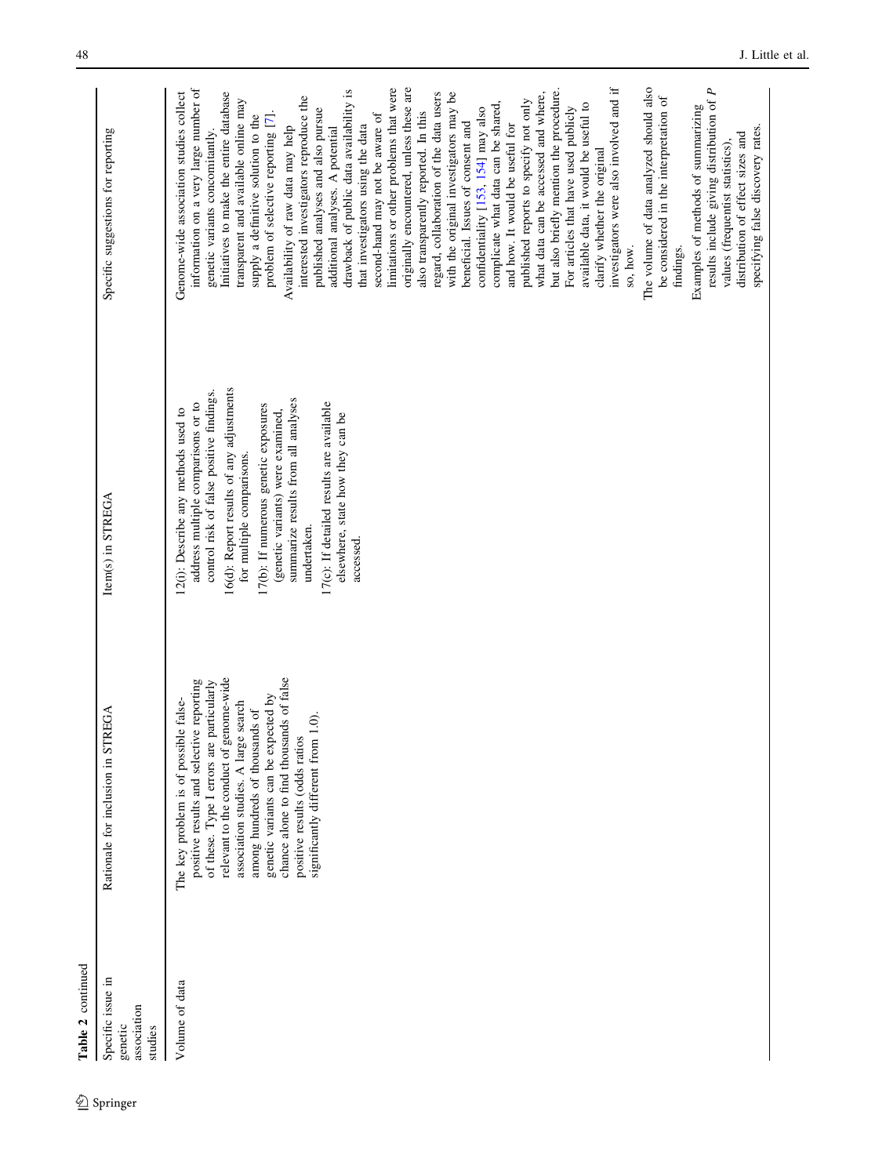| Table 2 continued                                      |                                                                                                                                                                                                                                                                                                                                                                                                           |                                                                                                                                                                                                                                                                                                                                                                                                                                |                                                                                                                                                                                                                                                                                                                                                                                                                                                                                                                                                                                                                                                                                                                                                                                                                                                                                                                                                                                                                                                                                                                                                                                                                                                                                                                                                                                                                                                                                                                                                 |
|--------------------------------------------------------|-----------------------------------------------------------------------------------------------------------------------------------------------------------------------------------------------------------------------------------------------------------------------------------------------------------------------------------------------------------------------------------------------------------|--------------------------------------------------------------------------------------------------------------------------------------------------------------------------------------------------------------------------------------------------------------------------------------------------------------------------------------------------------------------------------------------------------------------------------|-------------------------------------------------------------------------------------------------------------------------------------------------------------------------------------------------------------------------------------------------------------------------------------------------------------------------------------------------------------------------------------------------------------------------------------------------------------------------------------------------------------------------------------------------------------------------------------------------------------------------------------------------------------------------------------------------------------------------------------------------------------------------------------------------------------------------------------------------------------------------------------------------------------------------------------------------------------------------------------------------------------------------------------------------------------------------------------------------------------------------------------------------------------------------------------------------------------------------------------------------------------------------------------------------------------------------------------------------------------------------------------------------------------------------------------------------------------------------------------------------------------------------------------------------|
| Specific issue in<br>association<br>genetic<br>studies | Rationale for inclusion in STREGA                                                                                                                                                                                                                                                                                                                                                                         | Item(s) in STREGA                                                                                                                                                                                                                                                                                                                                                                                                              | Specific suggestions for reporting                                                                                                                                                                                                                                                                                                                                                                                                                                                                                                                                                                                                                                                                                                                                                                                                                                                                                                                                                                                                                                                                                                                                                                                                                                                                                                                                                                                                                                                                                                              |
| Volume of data                                         | chance alone to find thousands of false<br>relevant to the conduct of genome-wide<br>positive results and selective reporting<br>of these. Type I errors are particularly<br>genetic variants can be expected by<br>The key problem is of possible false-<br>association studies. A large search<br>among hundreds of thousands of<br>significantly different from 1.0).<br>positive results (odds ratios | 16(d): Report results of any adjustments<br>control risk of false positive findings.<br>summarize results from all analyses<br>address multiple comparisons or to<br>17(c): If detailed results are available<br>17(b): If numerous genetic exposures<br>12(i): Describe any methods used to<br>(genetic variants) were examined,<br>elsewhere, state how they can be<br>for multiple comparisons.<br>undertaken.<br>accessed. | investigators were also involved and if<br>originally encountered, unless these are<br>The volume of data analyzed should also<br>information on a very large number of<br>limitations or other problems that were<br>but also briefly mention the procedure.<br>results include giving distribution of P<br>drawback of public data availability is<br>Genome-wide association studies collect<br>Initiatives to make the entire database<br>regard, collaboration of the data users<br>with the original investigators may be<br>what data can be accessed and where,<br>interested investigators reproduce the<br>be considered in the interpretation of<br>published reports to specify not only<br>transparent and available online may<br>complicate what data can be shared,<br>available data, it would be useful to<br>Examples of methods of summarizing<br>For articles that have used publicly<br>confidentiality [153, 154] may also<br>published analyses and also pursue<br>also transparently reported. In this<br>second-hand may not be aware of<br>problem of selective reporting [7].<br>supply a definitive solution to the<br>beneficial. Issues of consent and<br>and how. It would be useful for<br>that investigators using the data<br>specifying false discovery rates.<br>Availability of raw data may help<br>additional analyses. A potential<br>genetic variants concomitantly.<br>distribution of effect sizes and<br>values (frequentist statistics),<br>clarify whether the original<br>so, how.<br>findings. |

 $\underline{\textcircled{\tiny 2}}$  Springer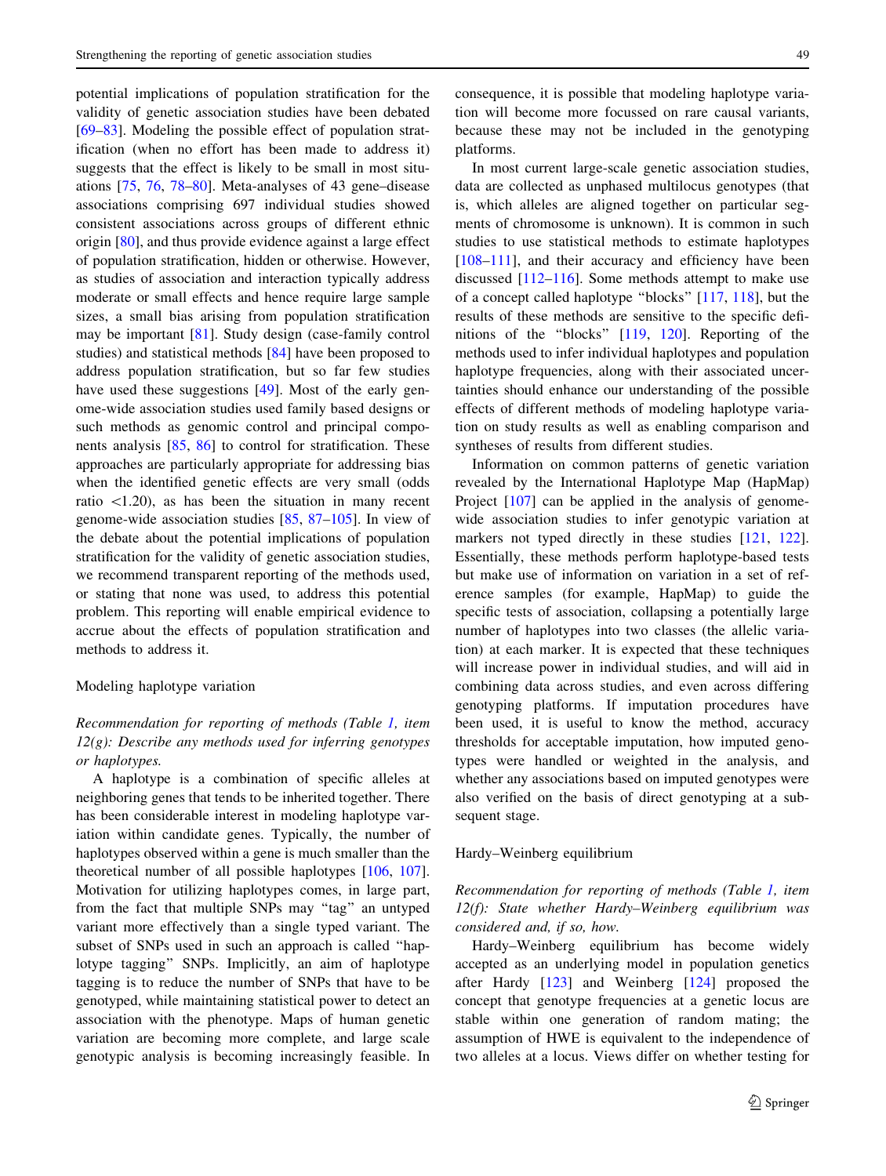potential implications of population stratification for the validity of genetic association studies have been debated [\[69–83](#page-16-0)]. Modeling the possible effect of population stratification (when no effort has been made to address it) suggests that the effect is likely to be small in most situations [\[75](#page-16-0), [76](#page-16-0), [78–80](#page-16-0)]. Meta-analyses of 43 gene–disease associations comprising 697 individual studies showed consistent associations across groups of different ethnic origin [[80\]](#page-16-0), and thus provide evidence against a large effect of population stratification, hidden or otherwise. However, as studies of association and interaction typically address moderate or small effects and hence require large sample sizes, a small bias arising from population stratification may be important [[81\]](#page-16-0). Study design (case-family control studies) and statistical methods [[84\]](#page-16-0) have been proposed to address population stratification, but so far few studies have used these suggestions [[49\]](#page-15-0). Most of the early genome-wide association studies used family based designs or such methods as genomic control and principal components analysis [[85,](#page-16-0) [86\]](#page-16-0) to control for stratification. These approaches are particularly appropriate for addressing bias when the identified genetic effects are very small (odds ratio  $\langle 1.20 \rangle$ , as has been the situation in many recent genome-wide association studies [\[85](#page-16-0), [87](#page-16-0)[–105](#page-17-0)]. In view of the debate about the potential implications of population stratification for the validity of genetic association studies, we recommend transparent reporting of the methods used, or stating that none was used, to address this potential problem. This reporting will enable empirical evidence to accrue about the effects of population stratification and methods to address it.

# Modeling haplotype variation

Recommendation for reporting of methods (Table [1](#page-4-0), item 12(g): Describe any methods used for inferring genotypes or haplotypes.

A haplotype is a combination of specific alleles at neighboring genes that tends to be inherited together. There has been considerable interest in modeling haplotype variation within candidate genes. Typically, the number of haplotypes observed within a gene is much smaller than the theoretical number of all possible haplotypes [[106,](#page-17-0) [107](#page-17-0)]. Motivation for utilizing haplotypes comes, in large part, from the fact that multiple SNPs may ''tag'' an untyped variant more effectively than a single typed variant. The subset of SNPs used in such an approach is called ''haplotype tagging'' SNPs. Implicitly, an aim of haplotype tagging is to reduce the number of SNPs that have to be genotyped, while maintaining statistical power to detect an association with the phenotype. Maps of human genetic variation are becoming more complete, and large scale genotypic analysis is becoming increasingly feasible. In consequence, it is possible that modeling haplotype variation will become more focussed on rare causal variants, because these may not be included in the genotyping platforms.

In most current large-scale genetic association studies, data are collected as unphased multilocus genotypes (that is, which alleles are aligned together on particular segments of chromosome is unknown). It is common in such studies to use statistical methods to estimate haplotypes [\[108–111](#page-17-0)], and their accuracy and efficiency have been discussed [\[112–116](#page-17-0)]. Some methods attempt to make use of a concept called haplotype ''blocks'' [[117,](#page-17-0) [118](#page-17-0)], but the results of these methods are sensitive to the specific definitions of the ''blocks'' [[119,](#page-17-0) [120\]](#page-17-0). Reporting of the methods used to infer individual haplotypes and population haplotype frequencies, along with their associated uncertainties should enhance our understanding of the possible effects of different methods of modeling haplotype variation on study results as well as enabling comparison and syntheses of results from different studies.

Information on common patterns of genetic variation revealed by the International Haplotype Map (HapMap) Project [\[107](#page-17-0)] can be applied in the analysis of genomewide association studies to infer genotypic variation at markers not typed directly in these studies [[121,](#page-17-0) [122](#page-17-0)]. Essentially, these methods perform haplotype-based tests but make use of information on variation in a set of reference samples (for example, HapMap) to guide the specific tests of association, collapsing a potentially large number of haplotypes into two classes (the allelic variation) at each marker. It is expected that these techniques will increase power in individual studies, and will aid in combining data across studies, and even across differing genotyping platforms. If imputation procedures have been used, it is useful to know the method, accuracy thresholds for acceptable imputation, how imputed genotypes were handled or weighted in the analysis, and whether any associations based on imputed genotypes were also verified on the basis of direct genotyping at a subsequent stage.

# Hardy–Weinberg equilibrium

Recommendation for reporting of methods (Table [1](#page-4-0), item 12(f): State whether Hardy–Weinberg equilibrium was considered and, if so, how.

Hardy–Weinberg equilibrium has become widely accepted as an underlying model in population genetics after Hardy [[123\]](#page-17-0) and Weinberg [\[124](#page-17-0)] proposed the concept that genotype frequencies at a genetic locus are stable within one generation of random mating; the assumption of HWE is equivalent to the independence of two alleles at a locus. Views differ on whether testing for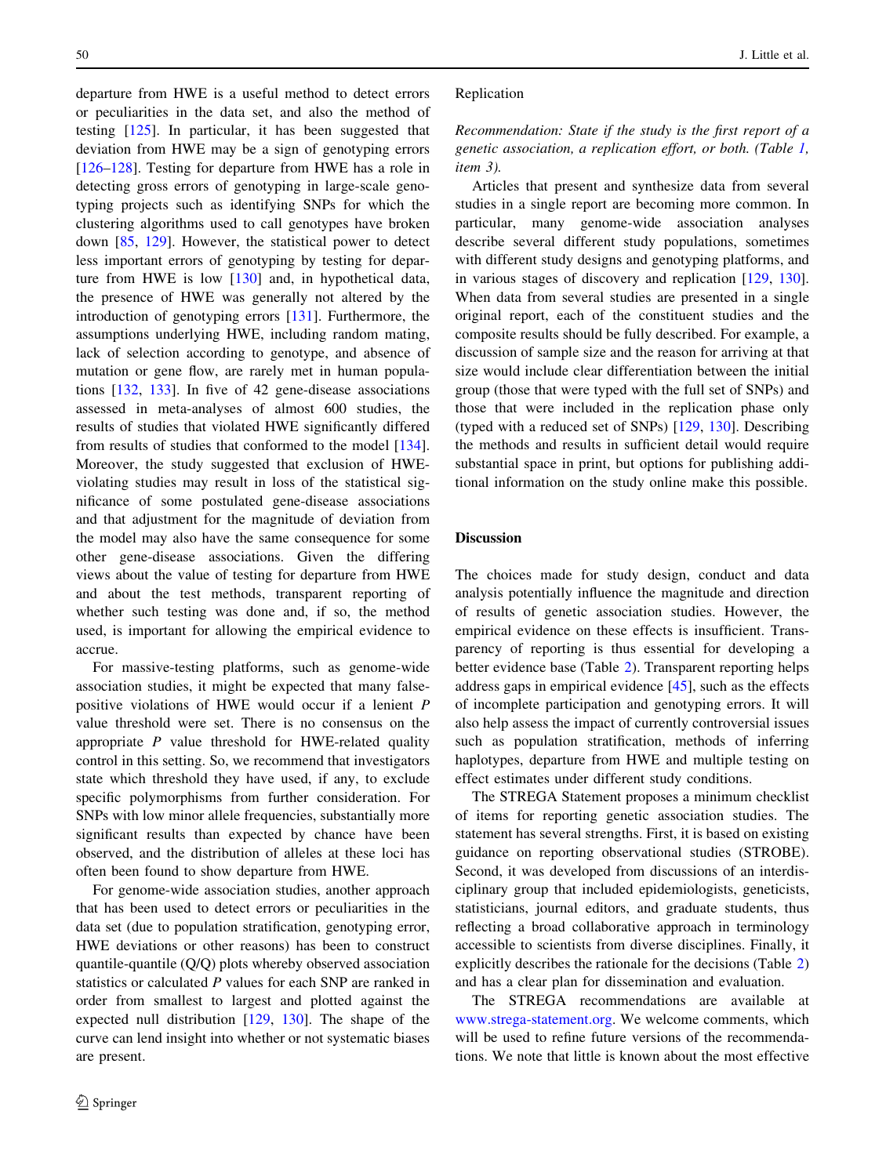departure from HWE is a useful method to detect errors or peculiarities in the data set, and also the method of testing [[125\]](#page-17-0). In particular, it has been suggested that deviation from HWE may be a sign of genotyping errors [\[126–128](#page-17-0)]. Testing for departure from HWE has a role in detecting gross errors of genotyping in large-scale genotyping projects such as identifying SNPs for which the clustering algorithms used to call genotypes have broken down [[85,](#page-16-0) [129](#page-17-0)]. However, the statistical power to detect less important errors of genotyping by testing for departure from HWE is low [[130\]](#page-17-0) and, in hypothetical data, the presence of HWE was generally not altered by the introduction of genotyping errors [[131\]](#page-17-0). Furthermore, the assumptions underlying HWE, including random mating, lack of selection according to genotype, and absence of mutation or gene flow, are rarely met in human populations [\[132](#page-17-0), [133](#page-17-0)]. In five of 42 gene-disease associations assessed in meta-analyses of almost 600 studies, the results of studies that violated HWE significantly differed from results of studies that conformed to the model [\[134](#page-17-0)]. Moreover, the study suggested that exclusion of HWEviolating studies may result in loss of the statistical significance of some postulated gene-disease associations and that adjustment for the magnitude of deviation from the model may also have the same consequence for some other gene-disease associations. Given the differing views about the value of testing for departure from HWE and about the test methods, transparent reporting of whether such testing was done and, if so, the method used, is important for allowing the empirical evidence to accrue.

For massive-testing platforms, such as genome-wide association studies, it might be expected that many falsepositive violations of HWE would occur if a lenient P value threshold were set. There is no consensus on the appropriate  $P$  value threshold for HWE-related quality control in this setting. So, we recommend that investigators state which threshold they have used, if any, to exclude specific polymorphisms from further consideration. For SNPs with low minor allele frequencies, substantially more significant results than expected by chance have been observed, and the distribution of alleles at these loci has often been found to show departure from HWE.

For genome-wide association studies, another approach that has been used to detect errors or peculiarities in the data set (due to population stratification, genotyping error, HWE deviations or other reasons) has been to construct quantile-quantile (Q/Q) plots whereby observed association statistics or calculated P values for each SNP are ranked in order from smallest to largest and plotted against the expected null distribution [[129,](#page-17-0) [130](#page-17-0)]. The shape of the curve can lend insight into whether or not systematic biases are present.

#### Replication

Recommendation: State if the study is the first report of a genetic association, a replication effort, or both. (Table [1,](#page-4-0) item 3).

Articles that present and synthesize data from several studies in a single report are becoming more common. In particular, many genome-wide association analyses describe several different study populations, sometimes with different study designs and genotyping platforms, and in various stages of discovery and replication [\[129](#page-17-0), [130](#page-17-0)]. When data from several studies are presented in a single original report, each of the constituent studies and the composite results should be fully described. For example, a discussion of sample size and the reason for arriving at that size would include clear differentiation between the initial group (those that were typed with the full set of SNPs) and those that were included in the replication phase only (typed with a reduced set of SNPs) [[129,](#page-17-0) [130](#page-17-0)]. Describing the methods and results in sufficient detail would require substantial space in print, but options for publishing additional information on the study online make this possible.

# Discussion

The choices made for study design, conduct and data analysis potentially influence the magnitude and direction of results of genetic association studies. However, the empirical evidence on these effects is insufficient. Transparency of reporting is thus essential for developing a better evidence base (Table [2\)](#page-7-0). Transparent reporting helps address gaps in empirical evidence [\[45](#page-15-0)], such as the effects of incomplete participation and genotyping errors. It will also help assess the impact of currently controversial issues such as population stratification, methods of inferring haplotypes, departure from HWE and multiple testing on effect estimates under different study conditions.

The STREGA Statement proposes a minimum checklist of items for reporting genetic association studies. The statement has several strengths. First, it is based on existing guidance on reporting observational studies (STROBE). Second, it was developed from discussions of an interdisciplinary group that included epidemiologists, geneticists, statisticians, journal editors, and graduate students, thus reflecting a broad collaborative approach in terminology accessible to scientists from diverse disciplines. Finally, it explicitly describes the rationale for the decisions (Table [2\)](#page-7-0) and has a clear plan for dissemination and evaluation.

The STREGA recommendations are available at [www.strega-statement.org.](http://www.strega-statement.org) We welcome comments, which will be used to refine future versions of the recommendations. We note that little is known about the most effective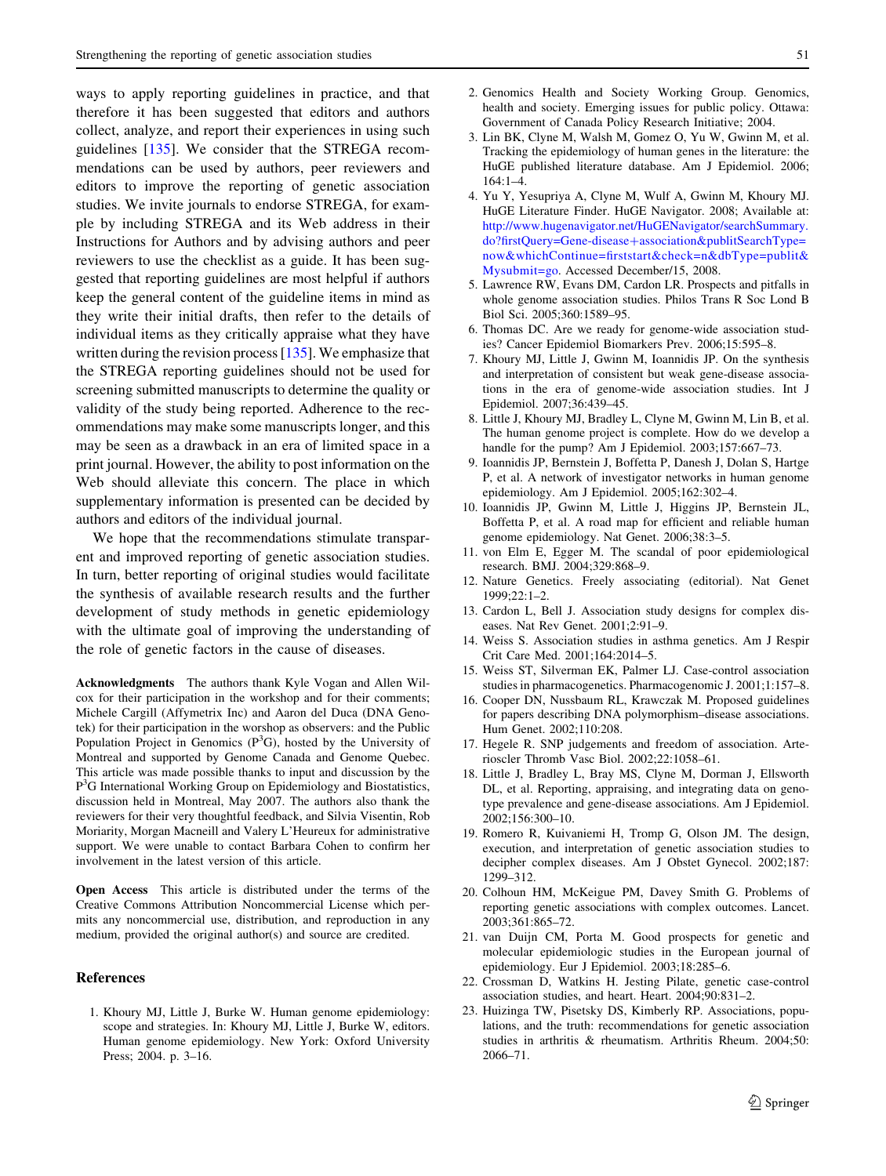<span id="page-14-0"></span>ways to apply reporting guidelines in practice, and that therefore it has been suggested that editors and authors collect, analyze, and report their experiences in using such guidelines [[135\]](#page-17-0). We consider that the STREGA recommendations can be used by authors, peer reviewers and editors to improve the reporting of genetic association studies. We invite journals to endorse STREGA, for example by including STREGA and its Web address in their Instructions for Authors and by advising authors and peer reviewers to use the checklist as a guide. It has been suggested that reporting guidelines are most helpful if authors keep the general content of the guideline items in mind as they write their initial drafts, then refer to the details of individual items as they critically appraise what they have written during the revision process [[135\]](#page-17-0). We emphasize that the STREGA reporting guidelines should not be used for screening submitted manuscripts to determine the quality or validity of the study being reported. Adherence to the recommendations may make some manuscripts longer, and this may be seen as a drawback in an era of limited space in a print journal. However, the ability to post information on the Web should alleviate this concern. The place in which supplementary information is presented can be decided by authors and editors of the individual journal.

We hope that the recommendations stimulate transparent and improved reporting of genetic association studies. In turn, better reporting of original studies would facilitate the synthesis of available research results and the further development of study methods in genetic epidemiology with the ultimate goal of improving the understanding of the role of genetic factors in the cause of diseases.

Acknowledgments The authors thank Kyle Vogan and Allen Wilcox for their participation in the workshop and for their comments; Michele Cargill (Affymetrix Inc) and Aaron del Duca (DNA Genotek) for their participation in the worshop as observers: and the Public Population Project in Genomics  $(P^3G)$ , hosted by the University of Montreal and supported by Genome Canada and Genome Quebec. This article was made possible thanks to input and discussion by the P<sup>3</sup>G International Working Group on Epidemiology and Biostatistics, discussion held in Montreal, May 2007. The authors also thank the reviewers for their very thoughtful feedback, and Silvia Visentin, Rob Moriarity, Morgan Macneill and Valery L'Heureux for administrative support. We were unable to contact Barbara Cohen to confirm her involvement in the latest version of this article.

Open Access This article is distributed under the terms of the Creative Commons Attribution Noncommercial License which permits any noncommercial use, distribution, and reproduction in any medium, provided the original author(s) and source are credited.

#### References

1. Khoury MJ, Little J, Burke W. Human genome epidemiology: scope and strategies. In: Khoury MJ, Little J, Burke W, editors. Human genome epidemiology. New York: Oxford University Press; 2004. p. 3–16.

- 2. Genomics Health and Society Working Group. Genomics, health and society. Emerging issues for public policy. Ottawa: Government of Canada Policy Research Initiative; 2004.
- 3. Lin BK, Clyne M, Walsh M, Gomez O, Yu W, Gwinn M, et al. Tracking the epidemiology of human genes in the literature: the HuGE published literature database. Am J Epidemiol. 2006; 164:1–4.
- 4. Yu Y, Yesupriya A, Clyne M, Wulf A, Gwinn M, Khoury MJ. HuGE Literature Finder. HuGE Navigator. 2008; Available at: [http://www.hugenavigator.net/HuGENavigator/searchSummary.](http://www.hugenavigator.net/HuGENavigator/searchSummary.do?firstQuery=Gene-disease+association&publitSearchType=now&whichContinue=firststart&check=n&dbType=publit&Mysubmit=go) do?firstQuery=Gene-disease*?*[association&publitSearchType=](http://www.hugenavigator.net/HuGENavigator/searchSummary.do?firstQuery=Gene-disease+association&publitSearchType=now&whichContinue=firststart&check=n&dbType=publit&Mysubmit=go) [now&whichContinue=firststart&check=n&dbType=publit&](http://www.hugenavigator.net/HuGENavigator/searchSummary.do?firstQuery=Gene-disease+association&publitSearchType=now&whichContinue=firststart&check=n&dbType=publit&Mysubmit=go) [Mysubmit=go](http://www.hugenavigator.net/HuGENavigator/searchSummary.do?firstQuery=Gene-disease+association&publitSearchType=now&whichContinue=firststart&check=n&dbType=publit&Mysubmit=go). Accessed December/15, 2008.
- 5. Lawrence RW, Evans DM, Cardon LR. Prospects and pitfalls in whole genome association studies. Philos Trans R Soc Lond B Biol Sci. 2005;360:1589–95.
- 6. Thomas DC. Are we ready for genome-wide association studies? Cancer Epidemiol Biomarkers Prev. 2006;15:595–8.
- 7. Khoury MJ, Little J, Gwinn M, Ioannidis JP. On the synthesis and interpretation of consistent but weak gene-disease associations in the era of genome-wide association studies. Int J Epidemiol. 2007;36:439–45.
- 8. Little J, Khoury MJ, Bradley L, Clyne M, Gwinn M, Lin B, et al. The human genome project is complete. How do we develop a handle for the pump? Am J Epidemiol. 2003;157:667-73.
- 9. Ioannidis JP, Bernstein J, Boffetta P, Danesh J, Dolan S, Hartge P, et al. A network of investigator networks in human genome epidemiology. Am J Epidemiol. 2005;162:302–4.
- 10. Ioannidis JP, Gwinn M, Little J, Higgins JP, Bernstein JL, Boffetta P, et al. A road map for efficient and reliable human genome epidemiology. Nat Genet. 2006;38:3–5.
- 11. von Elm E, Egger M. The scandal of poor epidemiological research. BMJ. 2004;329:868–9.
- 12. Nature Genetics. Freely associating (editorial). Nat Genet 1999;22:1–2.
- 13. Cardon L, Bell J. Association study designs for complex diseases. Nat Rev Genet. 2001;2:91–9.
- 14. Weiss S. Association studies in asthma genetics. Am J Respir Crit Care Med. 2001;164:2014–5.
- 15. Weiss ST, Silverman EK, Palmer LJ. Case-control association studies in pharmacogenetics. Pharmacogenomic J. 2001;1:157–8.
- 16. Cooper DN, Nussbaum RL, Krawczak M. Proposed guidelines for papers describing DNA polymorphism–disease associations. Hum Genet. 2002;110:208.
- 17. Hegele R. SNP judgements and freedom of association. Arterioscler Thromb Vasc Biol. 2002;22:1058–61.
- 18. Little J, Bradley L, Bray MS, Clyne M, Dorman J, Ellsworth DL, et al. Reporting, appraising, and integrating data on genotype prevalence and gene-disease associations. Am J Epidemiol. 2002;156:300–10.
- 19. Romero R, Kuivaniemi H, Tromp G, Olson JM. The design, execution, and interpretation of genetic association studies to decipher complex diseases. Am J Obstet Gynecol. 2002;187: 1299–312.
- 20. Colhoun HM, McKeigue PM, Davey Smith G. Problems of reporting genetic associations with complex outcomes. Lancet. 2003;361:865–72.
- 21. van Duijn CM, Porta M. Good prospects for genetic and molecular epidemiologic studies in the European journal of epidemiology. Eur J Epidemiol. 2003;18:285–6.
- 22. Crossman D, Watkins H. Jesting Pilate, genetic case-control association studies, and heart. Heart. 2004;90:831–2.
- 23. Huizinga TW, Pisetsky DS, Kimberly RP. Associations, populations, and the truth: recommendations for genetic association studies in arthritis & rheumatism. Arthritis Rheum. 2004;50: 2066–71.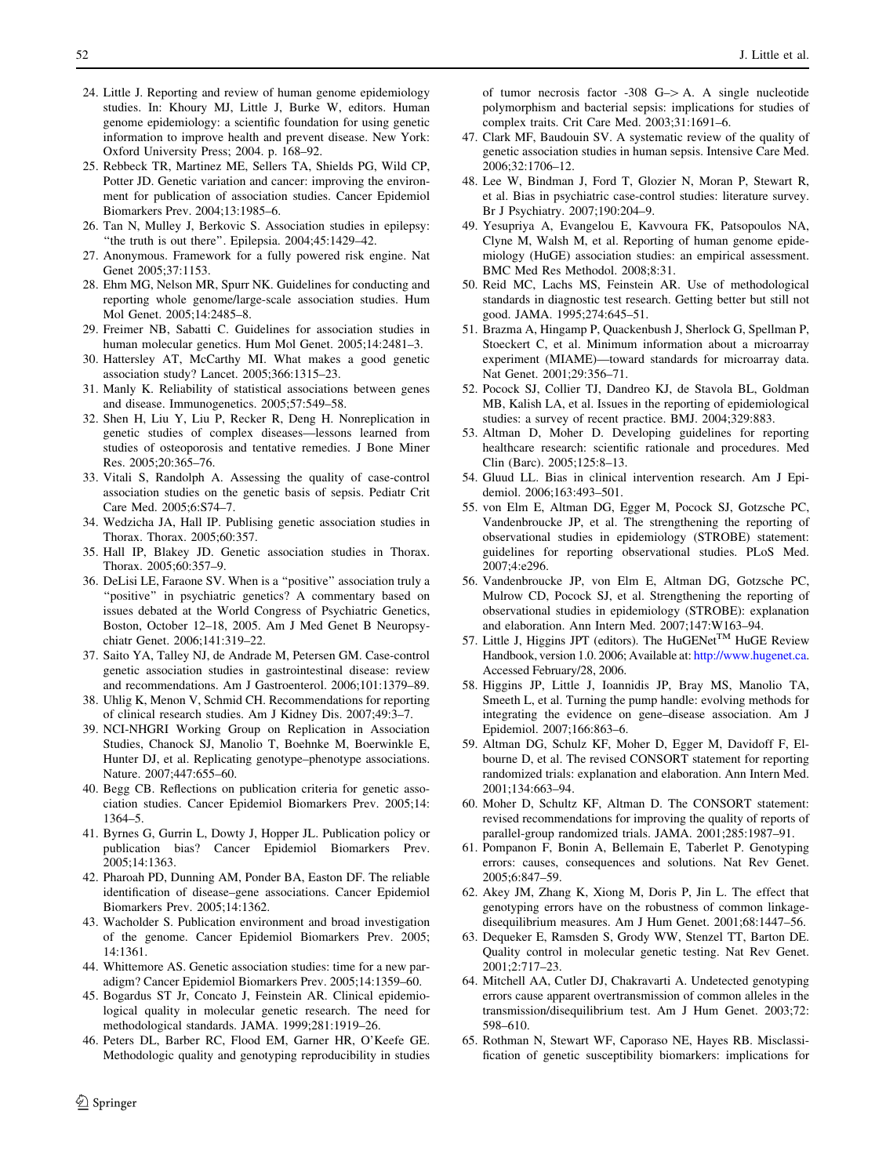- <span id="page-15-0"></span>24. Little J. Reporting and review of human genome epidemiology studies. In: Khoury MJ, Little J, Burke W, editors. Human genome epidemiology: a scientific foundation for using genetic information to improve health and prevent disease. New York: Oxford University Press; 2004. p. 168–92.
- 25. Rebbeck TR, Martinez ME, Sellers TA, Shields PG, Wild CP, Potter JD. Genetic variation and cancer: improving the environment for publication of association studies. Cancer Epidemiol Biomarkers Prev. 2004;13:1985–6.
- 26. Tan N, Mulley J, Berkovic S. Association studies in epilepsy: "the truth is out there". Epilepsia. 2004;45:1429-42.
- 27. Anonymous. Framework for a fully powered risk engine. Nat Genet 2005;37:1153.
- 28. Ehm MG, Nelson MR, Spurr NK. Guidelines for conducting and reporting whole genome/large-scale association studies. Hum Mol Genet. 2005;14:2485–8.
- 29. Freimer NB, Sabatti C. Guidelines for association studies in human molecular genetics. Hum Mol Genet. 2005;14:2481-3.
- 30. Hattersley AT, McCarthy MI. What makes a good genetic association study? Lancet. 2005;366:1315–23.
- 31. Manly K. Reliability of statistical associations between genes and disease. Immunogenetics. 2005;57:549–58.
- 32. Shen H, Liu Y, Liu P, Recker R, Deng H. Nonreplication in genetic studies of complex diseases—lessons learned from studies of osteoporosis and tentative remedies. J Bone Miner Res. 2005;20:365–76.
- 33. Vitali S, Randolph A. Assessing the quality of case-control association studies on the genetic basis of sepsis. Pediatr Crit Care Med. 2005;6:S74–7.
- 34. Wedzicha JA, Hall IP. Publising genetic association studies in Thorax. Thorax. 2005;60:357.
- 35. Hall IP, Blakey JD. Genetic association studies in Thorax. Thorax. 2005;60:357–9.
- 36. DeLisi LE, Faraone SV. When is a ''positive'' association truly a "positive" in psychiatric genetics? A commentary based on issues debated at the World Congress of Psychiatric Genetics, Boston, October 12–18, 2005. Am J Med Genet B Neuropsychiatr Genet. 2006;141:319–22.
- 37. Saito YA, Talley NJ, de Andrade M, Petersen GM. Case-control genetic association studies in gastrointestinal disease: review and recommendations. Am J Gastroenterol. 2006;101:1379–89.
- 38. Uhlig K, Menon V, Schmid CH. Recommendations for reporting of clinical research studies. Am J Kidney Dis. 2007;49:3–7.
- 39. NCI-NHGRI Working Group on Replication in Association Studies, Chanock SJ, Manolio T, Boehnke M, Boerwinkle E, Hunter DJ, et al. Replicating genotype–phenotype associations. Nature. 2007;447:655–60.
- 40. Begg CB. Reflections on publication criteria for genetic association studies. Cancer Epidemiol Biomarkers Prev. 2005;14: 1364–5.
- 41. Byrnes G, Gurrin L, Dowty J, Hopper JL. Publication policy or publication bias? Cancer Epidemiol Biomarkers Prev. 2005;14:1363.
- 42. Pharoah PD, Dunning AM, Ponder BA, Easton DF. The reliable identification of disease–gene associations. Cancer Epidemiol Biomarkers Prev. 2005;14:1362.
- 43. Wacholder S. Publication environment and broad investigation of the genome. Cancer Epidemiol Biomarkers Prev. 2005; 14:1361.
- 44. Whittemore AS. Genetic association studies: time for a new paradigm? Cancer Epidemiol Biomarkers Prev. 2005;14:1359–60.
- 45. Bogardus ST Jr, Concato J, Feinstein AR. Clinical epidemiological quality in molecular genetic research. The need for methodological standards. JAMA. 1999;281:1919–26.
- 46. Peters DL, Barber RC, Flood EM, Garner HR, O'Keefe GE. Methodologic quality and genotyping reproducibility in studies

 $\textcircled{2}$  Springer

of tumor necrosis factor  $-308$  G $\rightarrow$  A. A single nucleotide polymorphism and bacterial sepsis: implications for studies of complex traits. Crit Care Med. 2003;31:1691–6.

- 47. Clark MF, Baudouin SV. A systematic review of the quality of genetic association studies in human sepsis. Intensive Care Med. 2006;32:1706–12.
- 48. Lee W, Bindman J, Ford T, Glozier N, Moran P, Stewart R, et al. Bias in psychiatric case-control studies: literature survey. Br J Psychiatry. 2007;190:204–9.
- 49. Yesupriya A, Evangelou E, Kavvoura FK, Patsopoulos NA, Clyne M, Walsh M, et al. Reporting of human genome epidemiology (HuGE) association studies: an empirical assessment. BMC Med Res Methodol. 2008;8:31.
- 50. Reid MC, Lachs MS, Feinstein AR. Use of methodological standards in diagnostic test research. Getting better but still not good. JAMA. 1995;274:645–51.
- 51. Brazma A, Hingamp P, Quackenbush J, Sherlock G, Spellman P, Stoeckert C, et al. Minimum information about a microarray experiment (MIAME)—toward standards for microarray data. Nat Genet. 2001;29:356–71.
- 52. Pocock SJ, Collier TJ, Dandreo KJ, de Stavola BL, Goldman MB, Kalish LA, et al. Issues in the reporting of epidemiological studies: a survey of recent practice. BMJ. 2004;329:883.
- 53. Altman D, Moher D. Developing guidelines for reporting healthcare research: scientific rationale and procedures. Med Clin (Barc). 2005;125:8–13.
- 54. Gluud LL. Bias in clinical intervention research. Am J Epidemiol. 2006;163:493–501.
- 55. von Elm E, Altman DG, Egger M, Pocock SJ, Gotzsche PC, Vandenbroucke JP, et al. The strengthening the reporting of observational studies in epidemiology (STROBE) statement: guidelines for reporting observational studies. PLoS Med. 2007;4:e296.
- 56. Vandenbroucke JP, von Elm E, Altman DG, Gotzsche PC, Mulrow CD, Pocock SJ, et al. Strengthening the reporting of observational studies in epidemiology (STROBE): explanation and elaboration. Ann Intern Med. 2007;147:W163–94.
- 57. Little J, Higgins JPT (editors). The HuGENet<sup>TM</sup> HuGE Review Handbook, version 1.0. 2006; Available at: <http://www.hugenet.ca>. Accessed February/28, 2006.
- 58. Higgins JP, Little J, Ioannidis JP, Bray MS, Manolio TA, Smeeth L, et al. Turning the pump handle: evolving methods for integrating the evidence on gene–disease association. Am J Epidemiol. 2007;166:863–6.
- 59. Altman DG, Schulz KF, Moher D, Egger M, Davidoff F, Elbourne D, et al. The revised CONSORT statement for reporting randomized trials: explanation and elaboration. Ann Intern Med. 2001;134:663–94.
- 60. Moher D, Schultz KF, Altman D. The CONSORT statement: revised recommendations for improving the quality of reports of parallel-group randomized trials. JAMA. 2001;285:1987–91.
- 61. Pompanon F, Bonin A, Bellemain E, Taberlet P. Genotyping errors: causes, consequences and solutions. Nat Rev Genet. 2005;6:847–59.
- 62. Akey JM, Zhang K, Xiong M, Doris P, Jin L. The effect that genotyping errors have on the robustness of common linkagedisequilibrium measures. Am J Hum Genet. 2001;68:1447–56.
- 63. Dequeker E, Ramsden S, Grody WW, Stenzel TT, Barton DE. Quality control in molecular genetic testing. Nat Rev Genet. 2001;2:717–23.
- 64. Mitchell AA, Cutler DJ, Chakravarti A. Undetected genotyping errors cause apparent overtransmission of common alleles in the transmission/disequilibrium test. Am J Hum Genet. 2003;72: 598–610.
- 65. Rothman N, Stewart WF, Caporaso NE, Hayes RB. Misclassification of genetic susceptibility biomarkers: implications for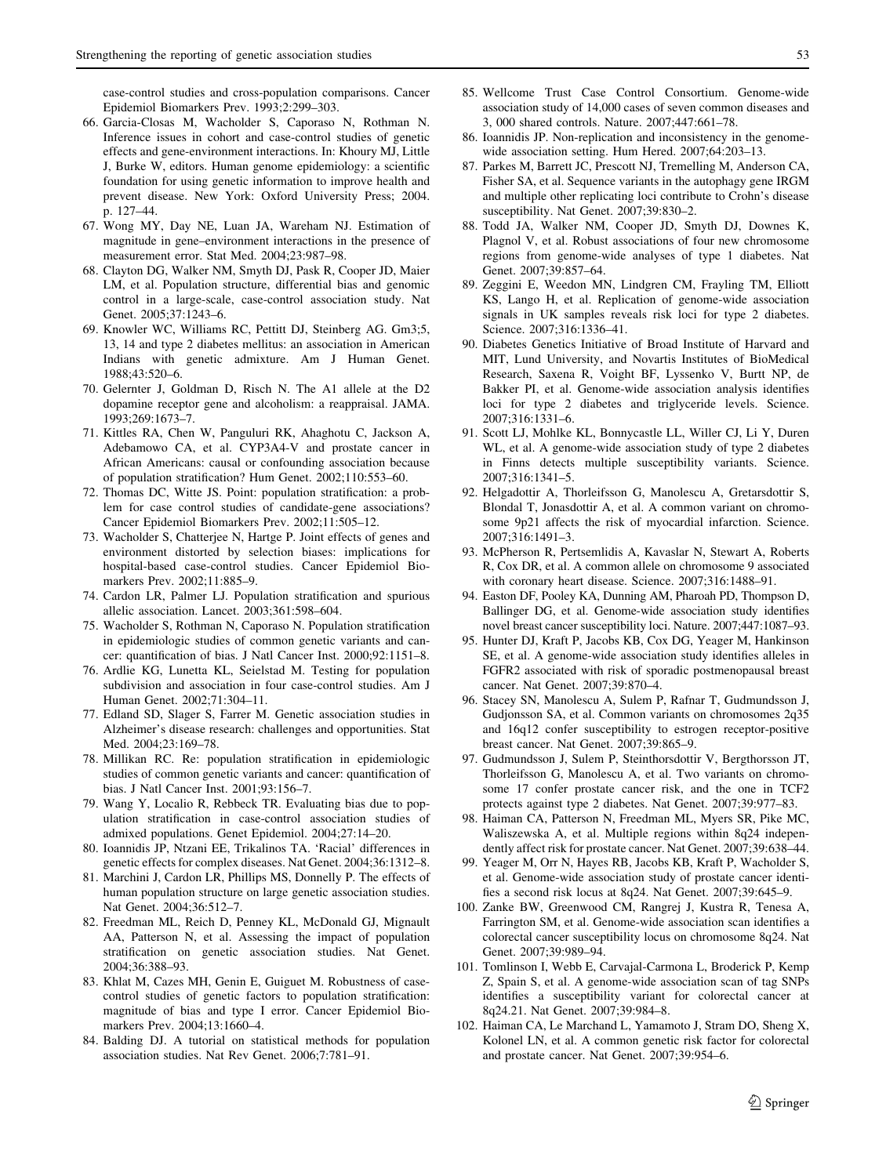<span id="page-16-0"></span>case-control studies and cross-population comparisons. Cancer Epidemiol Biomarkers Prev. 1993;2:299–303.

- 66. Garcia-Closas M, Wacholder S, Caporaso N, Rothman N. Inference issues in cohort and case-control studies of genetic effects and gene-environment interactions. In: Khoury MJ, Little J, Burke W, editors. Human genome epidemiology: a scientific foundation for using genetic information to improve health and prevent disease. New York: Oxford University Press; 2004. p. 127–44.
- 67. Wong MY, Day NE, Luan JA, Wareham NJ. Estimation of magnitude in gene–environment interactions in the presence of measurement error. Stat Med. 2004;23:987–98.
- 68. Clayton DG, Walker NM, Smyth DJ, Pask R, Cooper JD, Maier LM, et al. Population structure, differential bias and genomic control in a large-scale, case-control association study. Nat Genet. 2005;37:1243–6.
- 69. Knowler WC, Williams RC, Pettitt DJ, Steinberg AG. Gm3;5, 13, 14 and type 2 diabetes mellitus: an association in American Indians with genetic admixture. Am J Human Genet. 1988;43:520–6.
- 70. Gelernter J, Goldman D, Risch N. The A1 allele at the D2 dopamine receptor gene and alcoholism: a reappraisal. JAMA. 1993;269:1673–7.
- 71. Kittles RA, Chen W, Panguluri RK, Ahaghotu C, Jackson A, Adebamowo CA, et al. CYP3A4-V and prostate cancer in African Americans: causal or confounding association because of population stratification? Hum Genet. 2002;110:553–60.
- 72. Thomas DC, Witte JS. Point: population stratification: a problem for case control studies of candidate-gene associations? Cancer Epidemiol Biomarkers Prev. 2002;11:505–12.
- 73. Wacholder S, Chatterjee N, Hartge P. Joint effects of genes and environment distorted by selection biases: implications for hospital-based case-control studies. Cancer Epidemiol Biomarkers Prev. 2002;11:885–9.
- 74. Cardon LR, Palmer LJ. Population stratification and spurious allelic association. Lancet. 2003;361:598–604.
- 75. Wacholder S, Rothman N, Caporaso N. Population stratification in epidemiologic studies of common genetic variants and cancer: quantification of bias. J Natl Cancer Inst. 2000;92:1151–8.
- 76. Ardlie KG, Lunetta KL, Seielstad M. Testing for population subdivision and association in four case-control studies. Am J Human Genet. 2002;71:304–11.
- 77. Edland SD, Slager S, Farrer M. Genetic association studies in Alzheimer's disease research: challenges and opportunities. Stat Med. 2004;23:169–78.
- 78. Millikan RC. Re: population stratification in epidemiologic studies of common genetic variants and cancer: quantification of bias. J Natl Cancer Inst. 2001;93:156–7.
- 79. Wang Y, Localio R, Rebbeck TR. Evaluating bias due to population stratification in case-control association studies of admixed populations. Genet Epidemiol. 2004;27:14–20.
- 80. Ioannidis JP, Ntzani EE, Trikalinos TA. 'Racial' differences in genetic effects for complex diseases. Nat Genet. 2004;36:1312–8.
- 81. Marchini J, Cardon LR, Phillips MS, Donnelly P. The effects of human population structure on large genetic association studies. Nat Genet. 2004;36:512–7.
- 82. Freedman ML, Reich D, Penney KL, McDonald GJ, Mignault AA, Patterson N, et al. Assessing the impact of population stratification on genetic association studies. Nat Genet. 2004;36:388–93.
- 83. Khlat M, Cazes MH, Genin E, Guiguet M. Robustness of casecontrol studies of genetic factors to population stratification: magnitude of bias and type I error. Cancer Epidemiol Biomarkers Prev. 2004;13:1660–4.
- 84. Balding DJ. A tutorial on statistical methods for population association studies. Nat Rev Genet. 2006;7:781–91.
- 85. Wellcome Trust Case Control Consortium. Genome-wide association study of 14,000 cases of seven common diseases and 3, 000 shared controls. Nature. 2007;447:661–78.
- 86. Ioannidis JP. Non-replication and inconsistency in the genomewide association setting. Hum Hered. 2007;64:203–13.
- 87. Parkes M, Barrett JC, Prescott NJ, Tremelling M, Anderson CA, Fisher SA, et al. Sequence variants in the autophagy gene IRGM and multiple other replicating loci contribute to Crohn's disease susceptibility. Nat Genet. 2007;39:830–2.
- 88. Todd JA, Walker NM, Cooper JD, Smyth DJ, Downes K, Plagnol V, et al. Robust associations of four new chromosome regions from genome-wide analyses of type 1 diabetes. Nat Genet. 2007;39:857–64.
- 89. Zeggini E, Weedon MN, Lindgren CM, Frayling TM, Elliott KS, Lango H, et al. Replication of genome-wide association signals in UK samples reveals risk loci for type 2 diabetes. Science. 2007;316:1336–41.
- 90. Diabetes Genetics Initiative of Broad Institute of Harvard and MIT, Lund University, and Novartis Institutes of BioMedical Research, Saxena R, Voight BF, Lyssenko V, Burtt NP, de Bakker PI, et al. Genome-wide association analysis identifies loci for type 2 diabetes and triglyceride levels. Science. 2007;316:1331–6.
- 91. Scott LJ, Mohlke KL, Bonnycastle LL, Willer CJ, Li Y, Duren WL, et al. A genome-wide association study of type 2 diabetes in Finns detects multiple susceptibility variants. Science. 2007;316:1341–5.
- 92. Helgadottir A, Thorleifsson G, Manolescu A, Gretarsdottir S, Blondal T, Jonasdottir A, et al. A common variant on chromosome 9p21 affects the risk of myocardial infarction. Science. 2007;316:1491–3.
- 93. McPherson R, Pertsemlidis A, Kavaslar N, Stewart A, Roberts R, Cox DR, et al. A common allele on chromosome 9 associated with coronary heart disease. Science. 2007;316:1488–91.
- 94. Easton DF, Pooley KA, Dunning AM, Pharoah PD, Thompson D, Ballinger DG, et al. Genome-wide association study identifies novel breast cancer susceptibility loci. Nature. 2007;447:1087–93.
- 95. Hunter DJ, Kraft P, Jacobs KB, Cox DG, Yeager M, Hankinson SE, et al. A genome-wide association study identifies alleles in FGFR2 associated with risk of sporadic postmenopausal breast cancer. Nat Genet. 2007;39:870–4.
- 96. Stacey SN, Manolescu A, Sulem P, Rafnar T, Gudmundsson J, Gudjonsson SA, et al. Common variants on chromosomes 2q35 and 16q12 confer susceptibility to estrogen receptor-positive breast cancer. Nat Genet. 2007;39:865–9.
- 97. Gudmundsson J, Sulem P, Steinthorsdottir V, Bergthorsson JT, Thorleifsson G, Manolescu A, et al. Two variants on chromosome 17 confer prostate cancer risk, and the one in TCF2 protects against type 2 diabetes. Nat Genet. 2007;39:977–83.
- 98. Haiman CA, Patterson N, Freedman ML, Myers SR, Pike MC, Waliszewska A, et al. Multiple regions within 8q24 independently affect risk for prostate cancer. Nat Genet. 2007;39:638–44.
- 99. Yeager M, Orr N, Hayes RB, Jacobs KB, Kraft P, Wacholder S, et al. Genome-wide association study of prostate cancer identifies a second risk locus at 8q24. Nat Genet. 2007;39:645–9.
- 100. Zanke BW, Greenwood CM, Rangrej J, Kustra R, Tenesa A, Farrington SM, et al. Genome-wide association scan identifies a colorectal cancer susceptibility locus on chromosome 8q24. Nat Genet. 2007;39:989–94.
- 101. Tomlinson I, Webb E, Carvajal-Carmona L, Broderick P, Kemp Z, Spain S, et al. A genome-wide association scan of tag SNPs identifies a susceptibility variant for colorectal cancer at 8q24.21. Nat Genet. 2007;39:984–8.
- 102. Haiman CA, Le Marchand L, Yamamoto J, Stram DO, Sheng X, Kolonel LN, et al. A common genetic risk factor for colorectal and prostate cancer. Nat Genet. 2007;39:954–6.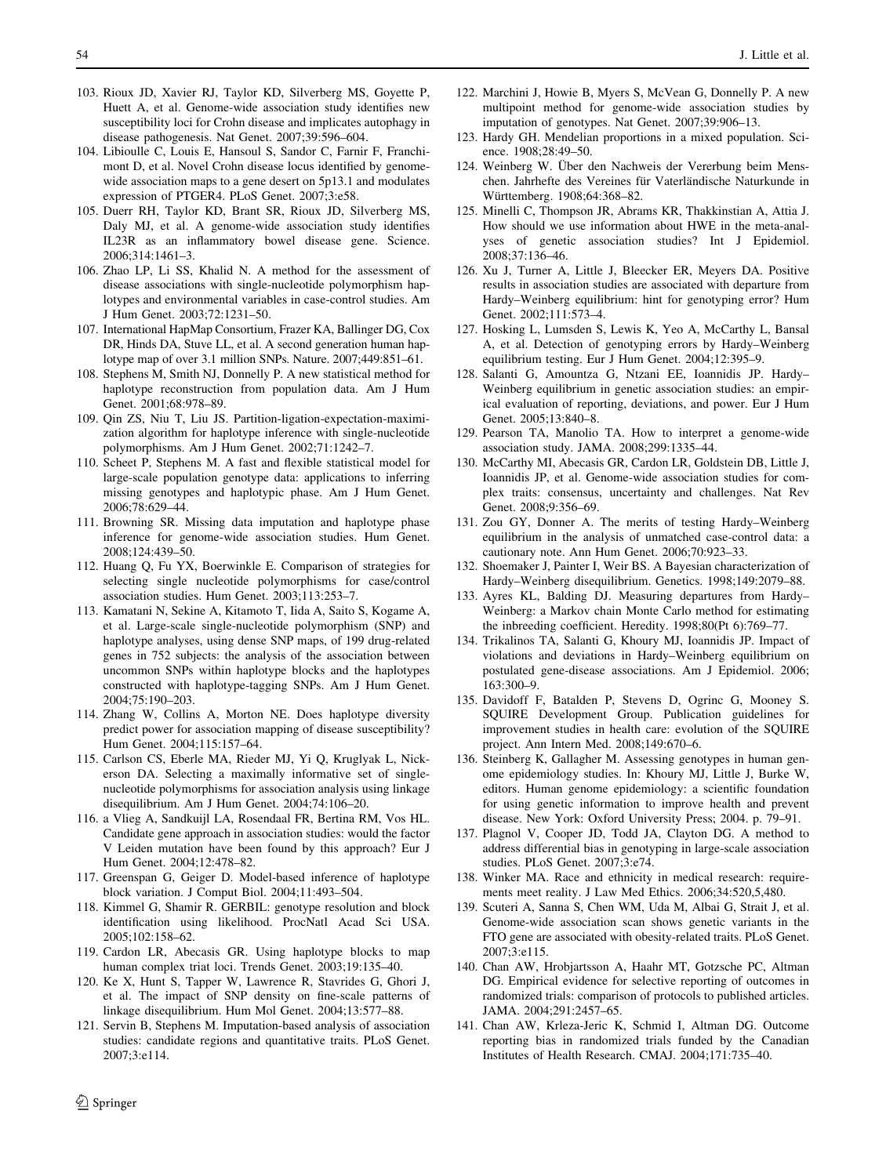- <span id="page-17-0"></span>103. Rioux JD, Xavier RJ, Taylor KD, Silverberg MS, Goyette P, Huett A, et al. Genome-wide association study identifies new susceptibility loci for Crohn disease and implicates autophagy in disease pathogenesis. Nat Genet. 2007;39:596–604.
- 104. Libioulle C, Louis E, Hansoul S, Sandor C, Farnir F, Franchimont D, et al. Novel Crohn disease locus identified by genomewide association maps to a gene desert on 5p13.1 and modulates expression of PTGER4. PLoS Genet. 2007;3:e58.
- 105. Duerr RH, Taylor KD, Brant SR, Rioux JD, Silverberg MS, Daly MJ, et al. A genome-wide association study identifies IL23R as an inflammatory bowel disease gene. Science. 2006;314:1461–3.
- 106. Zhao LP, Li SS, Khalid N. A method for the assessment of disease associations with single-nucleotide polymorphism haplotypes and environmental variables in case-control studies. Am J Hum Genet. 2003;72:1231–50.
- 107. International HapMap Consortium, Frazer KA, Ballinger DG, Cox DR, Hinds DA, Stuve LL, et al. A second generation human haplotype map of over 3.1 million SNPs. Nature. 2007;449:851–61.
- 108. Stephens M, Smith NJ, Donnelly P. A new statistical method for haplotype reconstruction from population data. Am J Hum Genet. 2001;68:978–89.
- 109. Qin ZS, Niu T, Liu JS. Partition-ligation-expectation-maximization algorithm for haplotype inference with single-nucleotide polymorphisms. Am J Hum Genet. 2002;71:1242–7.
- 110. Scheet P, Stephens M. A fast and flexible statistical model for large-scale population genotype data: applications to inferring missing genotypes and haplotypic phase. Am J Hum Genet. 2006;78:629–44.
- 111. Browning SR. Missing data imputation and haplotype phase inference for genome-wide association studies. Hum Genet. 2008;124:439–50.
- 112. Huang Q, Fu YX, Boerwinkle E. Comparison of strategies for selecting single nucleotide polymorphisms for case/control association studies. Hum Genet. 2003;113:253–7.
- 113. Kamatani N, Sekine A, Kitamoto T, Iida A, Saito S, Kogame A, et al. Large-scale single-nucleotide polymorphism (SNP) and haplotype analyses, using dense SNP maps, of 199 drug-related genes in 752 subjects: the analysis of the association between uncommon SNPs within haplotype blocks and the haplotypes constructed with haplotype-tagging SNPs. Am J Hum Genet. 2004;75:190–203.
- 114. Zhang W, Collins A, Morton NE. Does haplotype diversity predict power for association mapping of disease susceptibility? Hum Genet. 2004;115:157–64.
- 115. Carlson CS, Eberle MA, Rieder MJ, Yi Q, Kruglyak L, Nickerson DA. Selecting a maximally informative set of singlenucleotide polymorphisms for association analysis using linkage disequilibrium. Am J Hum Genet. 2004;74:106–20.
- 116. a Vlieg A, Sandkuijl LA, Rosendaal FR, Bertina RM, Vos HL. Candidate gene approach in association studies: would the factor V Leiden mutation have been found by this approach? Eur J Hum Genet. 2004;12:478–82.
- 117. Greenspan G, Geiger D. Model-based inference of haplotype block variation. J Comput Biol. 2004;11:493–504.
- 118. Kimmel G, Shamir R. GERBIL: genotype resolution and block identification using likelihood. ProcNatl Acad Sci USA. 2005;102:158–62.
- 119. Cardon LR, Abecasis GR. Using haplotype blocks to map human complex triat loci. Trends Genet. 2003;19:135–40.
- 120. Ke X, Hunt S, Tapper W, Lawrence R, Stavrides G, Ghori J, et al. The impact of SNP density on fine-scale patterns of linkage disequilibrium. Hum Mol Genet. 2004;13:577–88.
- 121. Servin B, Stephens M. Imputation-based analysis of association studies: candidate regions and quantitative traits. PLoS Genet. 2007;3:e114.
- 122. Marchini J, Howie B, Myers S, McVean G, Donnelly P. A new multipoint method for genome-wide association studies by imputation of genotypes. Nat Genet. 2007;39:906–13.
- 123. Hardy GH. Mendelian proportions in a mixed population. Science. 1908;28:49–50.
- 124. Weinberg W. Über den Nachweis der Vererbung beim Menschen. Jahrhefte des Vereines für Vaterländische Naturkunde in Württemberg. 1908;64:368-82.
- 125. Minelli C, Thompson JR, Abrams KR, Thakkinstian A, Attia J. How should we use information about HWE in the meta-analyses of genetic association studies? Int J Epidemiol. 2008;37:136–46.
- 126. Xu J, Turner A, Little J, Bleecker ER, Meyers DA. Positive results in association studies are associated with departure from Hardy–Weinberg equilibrium: hint for genotyping error? Hum Genet. 2002;111:573–4.
- 127. Hosking L, Lumsden S, Lewis K, Yeo A, McCarthy L, Bansal A, et al. Detection of genotyping errors by Hardy–Weinberg equilibrium testing. Eur J Hum Genet. 2004;12:395–9.
- 128. Salanti G, Amountza G, Ntzani EE, Ioannidis JP. Hardy– Weinberg equilibrium in genetic association studies: an empirical evaluation of reporting, deviations, and power. Eur J Hum Genet. 2005;13:840–8.
- 129. Pearson TA, Manolio TA. How to interpret a genome-wide association study. JAMA. 2008;299:1335–44.
- 130. McCarthy MI, Abecasis GR, Cardon LR, Goldstein DB, Little J, Ioannidis JP, et al. Genome-wide association studies for complex traits: consensus, uncertainty and challenges. Nat Rev Genet. 2008;9:356–69.
- 131. Zou GY, Donner A. The merits of testing Hardy–Weinberg equilibrium in the analysis of unmatched case-control data: a cautionary note. Ann Hum Genet. 2006;70:923–33.
- 132. Shoemaker J, Painter I, Weir BS. A Bayesian characterization of Hardy–Weinberg disequilibrium. Genetics. 1998;149:2079–88.
- 133. Ayres KL, Balding DJ. Measuring departures from Hardy– Weinberg: a Markov chain Monte Carlo method for estimating the inbreeding coefficient. Heredity. 1998;80(Pt 6):769–77.
- 134. Trikalinos TA, Salanti G, Khoury MJ, Ioannidis JP. Impact of violations and deviations in Hardy–Weinberg equilibrium on postulated gene-disease associations. Am J Epidemiol. 2006; 163:300–9.
- 135. Davidoff F, Batalden P, Stevens D, Ogrinc G, Mooney S. SQUIRE Development Group. Publication guidelines for improvement studies in health care: evolution of the SQUIRE project. Ann Intern Med. 2008;149:670–6.
- 136. Steinberg K, Gallagher M. Assessing genotypes in human genome epidemiology studies. In: Khoury MJ, Little J, Burke W, editors. Human genome epidemiology: a scientific foundation for using genetic information to improve health and prevent disease. New York: Oxford University Press; 2004. p. 79–91.
- 137. Plagnol V, Cooper JD, Todd JA, Clayton DG. A method to address differential bias in genotyping in large-scale association studies. PLoS Genet. 2007;3:e74.
- 138. Winker MA. Race and ethnicity in medical research: requirements meet reality. J Law Med Ethics. 2006;34:520,5,480.
- 139. Scuteri A, Sanna S, Chen WM, Uda M, Albai G, Strait J, et al. Genome-wide association scan shows genetic variants in the FTO gene are associated with obesity-related traits. PLoS Genet. 2007;3:e115.
- 140. Chan AW, Hrobjartsson A, Haahr MT, Gotzsche PC, Altman DG. Empirical evidence for selective reporting of outcomes in randomized trials: comparison of protocols to published articles. JAMA. 2004;291:2457–65.
- 141. Chan AW, Krleza-Jeric K, Schmid I, Altman DG. Outcome reporting bias in randomized trials funded by the Canadian Institutes of Health Research. CMAJ. 2004;171:735–40.